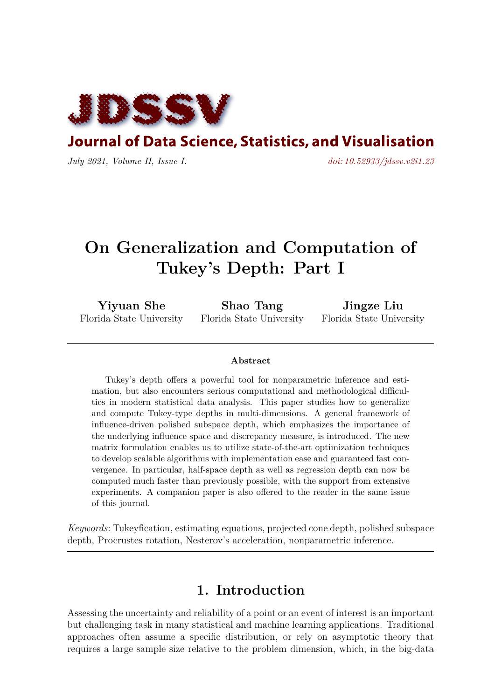

**Journal of Data Science, Statistics, and Visualisation** 

*July 2021, Volume II, Issue I. [doi: 10.52933/jdssv.v2i1.23](http://dx.doi.org/10.52933/jdssv.v2i1.23)*

# **On Generalization and Computation of Tukey's Depth: Part I**

**Yiyuan She** Florida State University

**Shao Tang** Florida State University

**Jingze Liu** Florida State University

#### **Abstract**

Tukey's depth offers a powerful tool for nonparametric inference and estimation, but also encounters serious computational and methodological difficulties in modern statistical data analysis. This paper studies how to generalize and compute Tukey-type depths in multi-dimensions. A general framework of influence-driven polished subspace depth, which emphasizes the importance of the underlying influence space and discrepancy measure, is introduced. The new matrix formulation enables us to utilize state-of-the-art optimization techniques to develop scalable algorithms with implementation ease and guaranteed fast convergence. In particular, half-space depth as well as regression depth can now be computed much faster than previously possible, with the support from extensive experiments. A companion paper is also offered to the reader in the same issue of this journal.

*Keywords*: Tukeyfication, estimating equations, projected cone depth, polished subspace depth, Procrustes rotation, Nesterov's acceleration, nonparametric inference.

### **1. Introduction**

<span id="page-0-0"></span>Assessing the uncertainty and reliability of a point or an event of interest is an important but challenging task in many statistical and machine learning applications. Traditional approaches often assume a specific distribution, or rely on asymptotic theory that requires a large sample size relative to the problem dimension, which, in the big-data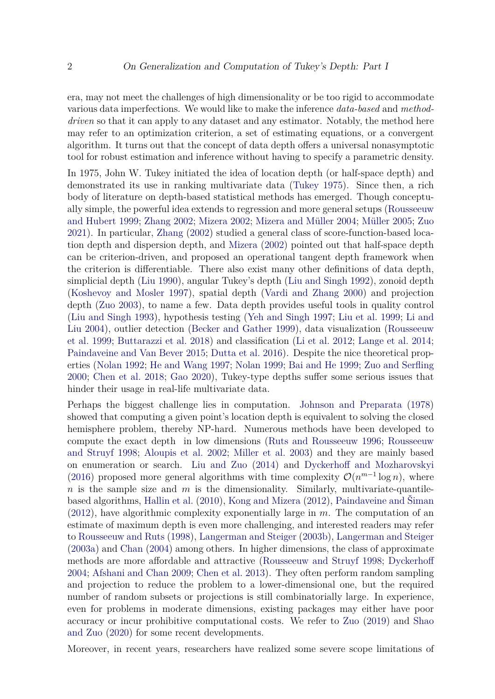era, may not meet the challenges of high dimensionality or be too rigid to accommodate various data imperfections. We would like to make the inference *data-based* and *methoddriven* so that it can apply to any dataset and any estimator. Notably, the method here may refer to an optimization criterion, a set of estimating equations, or a convergent algorithm. It turns out that the concept of data depth offers a universal nonasymptotic tool for robust estimation and inference without having to specify a parametric density.

In 1975, John W. Tukey initiated the idea of location depth (or half-space depth) and demonstrated its use in ranking multivariate data [\(Tukey](#page-23-0) [1975\)](#page-23-0). Since then, a rich body of literature on depth-based statistical methods has emerged. Though conceptually simple, the powerful idea extends to regression and more general setups [\(Rousseeuw](#page-22-0) [and Hubert](#page-22-0) [1999;](#page-22-0) [Zhang](#page-23-1) [2002;](#page-23-1) [Mizera](#page-22-1) [2002;](#page-22-1) [Mizera and Müller](#page-22-2) [2004;](#page-22-2) [Müller](#page-22-3) [2005;](#page-22-3) [Zuo](#page-23-2) [2021\)](#page-23-2). In particular, [Zhang](#page-23-1) [\(2002\)](#page-23-1) studied a general class of score-function-based location depth and dispersion depth, and [Mizera](#page-22-1) [\(2002\)](#page-22-1) pointed out that half-space depth can be criterion-driven, and proposed an operational tangent depth framework when the criterion is differentiable. There also exist many other definitions of data depth, simplicial depth [\(Liu](#page-21-0) [1990\)](#page-21-0), angular Tukey's depth [\(Liu and Singh](#page-21-1) [1992\)](#page-21-1), zonoid depth [\(Koshevoy and Mosler](#page-21-2) [1997\)](#page-21-2), spatial depth [\(Vardi and Zhang](#page-23-3) [2000\)](#page-23-3) and projection depth [\(Zuo](#page-23-4) [2003\)](#page-23-4), to name a few. Data depth provides useful tools in quality control [\(Liu and Singh](#page-21-3) [1993\)](#page-21-3), hypothesis testing [\(Yeh and Singh](#page-23-5) [1997;](#page-23-5) [Liu et al.](#page-21-4) [1999;](#page-21-4) [Li and](#page-21-5) [Liu](#page-21-5) [2004\)](#page-21-5), outlier detection [\(Becker and Gather](#page-19-0) [1999\)](#page-19-0), data visualization [\(Rousseeuw](#page-22-4) [et al.](#page-22-4) [1999;](#page-22-4) [Buttarazzi et al.](#page-20-0) [2018\)](#page-20-0) and classification [\(Li et al.](#page-21-6) [2012;](#page-21-6) [Lange et al.](#page-21-7) [2014;](#page-21-7) [Paindaveine and Van Bever](#page-22-5) [2015;](#page-22-5) [Dutta et al.](#page-20-1) [2016\)](#page-20-1). Despite the nice theoretical properties [\(Nolan](#page-22-6) [1992;](#page-22-6) [He and Wang](#page-20-2) [1997;](#page-20-2) [Nolan](#page-22-7) [1999;](#page-22-7) [Bai and He](#page-19-1) [1999;](#page-19-1) [Zuo and Serfling](#page-23-6) [2000;](#page-23-6) [Chen et al.](#page-20-3) [2018;](#page-20-3) [Gao](#page-20-4) [2020\)](#page-20-4), Tukey-type depths suffer some serious issues that hinder their usage in real-life multivariate data.

Perhaps the biggest challenge lies in computation. [Johnson and Preparata](#page-20-5) [\(1978\)](#page-20-5) showed that computing a given point's location depth is equivalent to solving the closed hemisphere problem, thereby NP-hard. Numerous methods have been developed to compute the exact depth in low dimensions [\(Ruts and Rousseeuw](#page-22-8) [1996;](#page-22-8) [Rousseeuw](#page-22-9) [and Struyf](#page-22-9) [1998;](#page-22-9) [Aloupis et al.](#page-19-2) [2002;](#page-19-2) [Miller et al.](#page-22-10) [2003\)](#page-22-10) and they are mainly based on enumeration or search. [Liu and Zuo](#page-21-8) [\(2014\)](#page-21-8) and [Dyckerhoff and Mozharovskyi](#page-20-6) [\(2016\)](#page-20-6) proposed more general algorithms with time complexity  $\mathcal{O}(n^{m-1}\log n)$ , where *n* is the sample size and *m* is the dimensionality. Similarly, multivariate-quantilebased algorithms, [Hallin et al.](#page-20-7) [\(2010\)](#page-20-7), [Kong and Mizera](#page-20-8) [\(2012\)](#page-20-8), [Paindaveine and Šiman](#page-22-11) [\(2012\)](#page-22-11), have algorithmic complexity exponentially large in *m*. The computation of an estimate of maximum depth is even more challenging, and interested readers may refer to [Rousseeuw and Ruts](#page-22-12) [\(1998\)](#page-22-12), [Langerman and Steiger](#page-21-9) [\(2003b\)](#page-21-9), [Langerman and Steiger](#page-21-10) [\(2003a\)](#page-21-10) and [Chan](#page-20-9) [\(2004\)](#page-20-9) among others. In higher dimensions, the class of approximate methods are more affordable and attractive [\(Rousseeuw and Struyf](#page-22-9) [1998;](#page-22-9) [Dyckerhoff](#page-20-10) [2004;](#page-20-10) [Afshani and Chan](#page-19-3) [2009;](#page-19-3) [Chen et al.](#page-20-11) [2013\)](#page-20-11). They often perform random sampling and projection to reduce the problem to a lower-dimensional one, but the required number of random subsets or projections is still combinatorially large. In experience, even for problems in moderate dimensions, existing packages may either have poor accuracy or incur prohibitive computational costs. We refer to [Zuo](#page-23-7) [\(2019\)](#page-23-7) and [Shao](#page-23-8) [and Zuo](#page-23-8) [\(2020\)](#page-23-8) for some recent developments.

Moreover, in recent years, researchers have realized some severe scope limitations of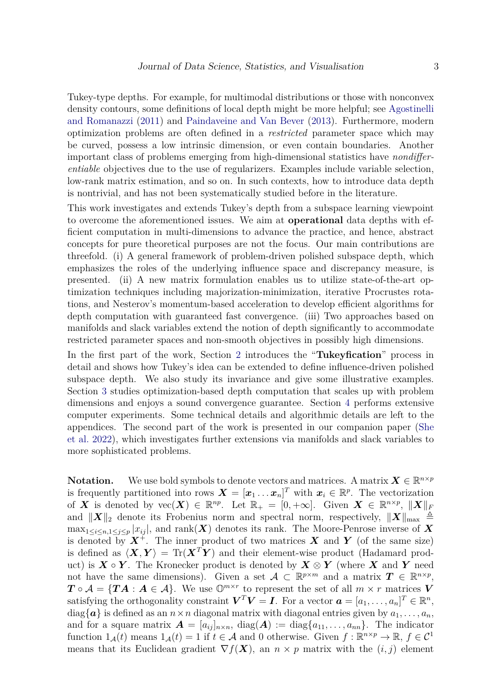Tukey-type depths. For example, for multimodal distributions or those with nonconvex density contours, some definitions of local depth might be more helpful; see [Agostinelli](#page-19-4) [and Romanazzi](#page-19-4) [\(2011\)](#page-19-4) and [Paindaveine and Van Bever](#page-22-13) [\(2013\)](#page-22-13). Furthermore, modern optimization problems are often defined in a *restricted* parameter space which may be curved, possess a low intrinsic dimension, or even contain boundaries. Another important class of problems emerging from high-dimensional statistics have *nondifferentiable* objectives due to the use of regularizers. Examples include variable selection, low-rank matrix estimation, and so on. In such contexts, how to introduce data depth is nontrivial, and has not been systematically studied before in the literature.

This work investigates and extends Tukey's depth from a subspace learning viewpoint to overcome the aforementioned issues. We aim at **operational** data depths with efficient computation in multi-dimensions to advance the practice, and hence, abstract concepts for pure theoretical purposes are not the focus. Our main contributions are threefold. (i) A general framework of problem-driven polished subspace depth, which emphasizes the roles of the underlying influence space and discrepancy measure, is presented. (ii) A new matrix formulation enables us to utilize state-of-the-art optimization techniques including majorization-minimization, iterative Procrustes rotations, and Nesterov's momentum-based acceleration to develop efficient algorithms for depth computation with guaranteed fast convergence. (iii) Two approaches based on manifolds and slack variables extend the notion of depth significantly to accommodate restricted parameter spaces and non-smooth objectives in possibly high dimensions.

In the first part of the work, Section [2](#page-3-0) introduces the "**Tukeyfication**" process in detail and shows how Tukey's idea can be extended to define influence-driven polished subspace depth. We also study its invariance and give some illustrative examples. Section [3](#page-11-0) studies optimization-based depth computation that scales up with problem dimensions and enjoys a sound convergence guarantee. Section [4](#page-15-0) performs extensive computer experiments. Some technical details and algorithmic details are left to the appendices. The second part of the work is presented in our companion paper [\(She](#page-23-9) [et al.](#page-23-9) [2022\)](#page-23-9), which investigates further extensions via manifolds and slack variables to more sophisticated problems.

**Notation.** We use bold symbols to denote vectors and matrices. A matrix  $\mathbf{X} \in \mathbb{R}^{n \times p}$ is frequently partitioned into rows  $\mathbf{X} = [\mathbf{x}_1 \dots \mathbf{x}_n]^T$  with  $\mathbf{x}_i \in \mathbb{R}^p$ . The vectorization of *X* is denoted by  $\text{vec}(\textbf{X}) \in \mathbb{R}^{np}$ . Let  $\mathbb{R}_+ = [0, +\infty]$ . Given  $\textbf{X} \in \mathbb{R}^{n \times p}$ ,  $\|\textbf{X}\|_F$ and  $||X||_2$  denote its Frobenius norm and spectral norm, respectively,  $||X||_{\text{max}} \triangleq$  $\max_{1 \leq i \leq n, 1 \leq j \leq p} |x_{ij}|$ , and  $\text{rank}(\boldsymbol{X})$  denotes its rank. The Moore-Penrose inverse of X is denoted by  $X^+$ . The inner product of two matrices X and Y (of the same size) is defined as  $\langle \mathbf{X}, \mathbf{Y} \rangle = \text{Tr}(\mathbf{X}^T \mathbf{Y})$  and their element-wise product (Hadamard product) is  $X \circ Y$ . The Kronecker product is denoted by  $X \otimes Y$  (where X and Y need not have the same dimensions). Given a set  $A \subset \mathbb{R}^{p \times m}$  and a matrix  $T \in \mathbb{R}^{n \times p}$ ,  $T \circ A = \{TA : A \in \mathcal{A}\}\$ . We use  $\mathbb{O}^{m \times r}$  to represent the set of all  $m \times r$  matrices *V* satisfying the orthogonality constraint  $V^T V = I$ . For a vector  $\boldsymbol{a} = [a_1, \dots, a_n]^T \in \mathbb{R}^n$ ,  $diag{\a}$  is defined as an  $n \times n$  diagonal matrix with diagonal entries given by  $a_1, \ldots, a_n$ , and for a square matrix  $\mathbf{A} = [a_{ij}]_{n \times n}$ , diag( $\mathbf{A}$ ) := diag{ $a_{11}, \ldots, a_{nn}$ }. The indicator function  $1_A(t)$  means  $1_A(t) = 1$  if  $t \in A$  and 0 otherwise. Given  $f : \mathbb{R}^{n \times p} \to \mathbb{R}, f \in \mathcal{C}^1$ means that its Euclidean gradient  $\nabla f(\boldsymbol{X})$ , an  $n \times p$  matrix with the  $(i, j)$  element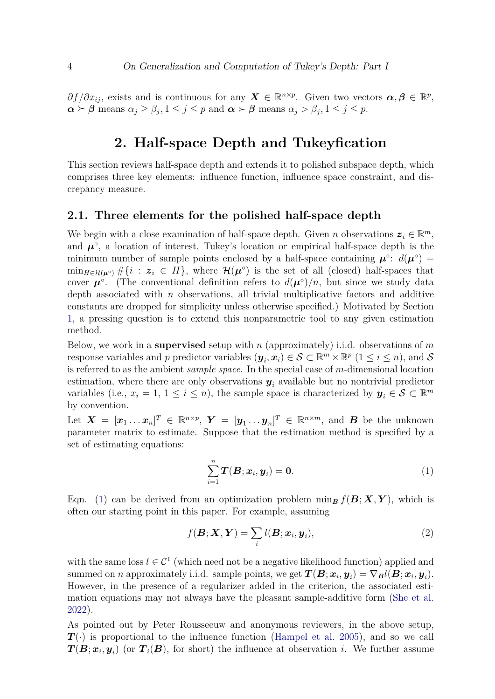$\partial f/\partial x_{ij}$ , exists and is continuous for any  $\mathbf{X} \in \mathbb{R}^{n \times p}$ . Given two vectors  $\boldsymbol{\alpha}, \boldsymbol{\beta} \in \mathbb{R}^p$ ,  $\alpha \succeq \beta$  means  $\alpha_j \geq \beta_j, 1 \leq j \leq p$  and  $\alpha \succ \beta$  means  $\alpha_j > \beta_j, 1 \leq j \leq p$ .

# **2. Half-space Depth and Tukeyfication**

<span id="page-3-0"></span>This section reviews half-space depth and extends it to polished subspace depth, which comprises three key elements: influence function, influence space constraint, and discrepancy measure.

#### **2.1. Three elements for the polished half-space depth**

We begin with a close examination of half-space depth. Given *n* observations  $z_i \in \mathbb{R}^m$ , and  $\mu^{\circ}$ , a location of interest, Tukey's location or empirical half-space depth is the minimum number of sample points enclosed by a half-space containing  $\mu^{\circ}$ :  $d(\mu^{\circ})$  =  $\min_{H \in \mathcal{H}(\mu^{\circ})} \# \{i : z_i \in H\}$ , where  $\mathcal{H}(\mu^{\circ})$  is the set of all (closed) half-spaces that cover  $\mu^{\circ}$ . (The conventional definition refers to  $d(\mu^{\circ})/n$ , but since we study data depth associated with *n* observations, all trivial multiplicative factors and additive constants are dropped for simplicity unless otherwise specified.) Motivated by Section [1,](#page-0-0) a pressing question is to extend this nonparametric tool to any given estimation method.

Below, we work in a **supervised** setup with *n* (approximately) i.i.d. observations of *m* response variables and *p* predictor variables  $(\mathbf{y}_i, \mathbf{x}_i) \in \mathcal{S} \subset \mathbb{R}^m \times \mathbb{R}^p \ (1 \leq i \leq n)$ , and  $\mathcal{S}$ is referred to as the ambient *sample space*. In the special case of *m*-dimensional location estimation, where there are only observations  $y_i$  available but no nontrivial predictor variables (i.e.,  $x_i = 1, 1 \leq i \leq n$ ), the sample space is characterized by  $y_i \in S \subset \mathbb{R}^m$ by convention.

Let  $\boldsymbol{X} = [\boldsymbol{x}_1 \dots \boldsymbol{x}_n]^T \in \mathbb{R}^{n \times p}$ ,  $\boldsymbol{Y} = [\boldsymbol{y}_1 \dots \boldsymbol{y}_n]^T \in \mathbb{R}^{n \times m}$ , and  $\boldsymbol{B}$  be the unknown parameter matrix to estimate. Suppose that the estimation method is specified by a set of estimating equations:

<span id="page-3-2"></span><span id="page-3-1"></span>
$$
\sum_{i=1}^{n} \boldsymbol{T}(\boldsymbol{B}; \boldsymbol{x}_i, \boldsymbol{y}_i) = \boldsymbol{0}.\tag{1}
$$

Eqn. [\(1\)](#page-3-1) can be derived from an optimization problem min<sub>B</sub>  $f(\mathbf{B}; \mathbf{X}, \mathbf{Y})$ , which is often our starting point in this paper. For example, assuming

$$
f(\boldsymbol{B}; \boldsymbol{X}, \boldsymbol{Y}) = \sum_{i} l(\boldsymbol{B}; \boldsymbol{x}_i, \boldsymbol{y}_i),
$$
\n(2)

with the same loss  $l \in \mathcal{C}^1$  (which need not be a negative likelihood function) applied and  $\mathbf{summed}$  on *n* approximately i.i.d. sample points, we get  $\boldsymbol{T}(\boldsymbol{B};\boldsymbol{x}_i,\boldsymbol{y}_i) = \nabla_{\boldsymbol{B}} l(\boldsymbol{B};\boldsymbol{x}_i,\boldsymbol{y}_i).$ However, in the presence of a regularizer added in the criterion, the associated estimation equations may not always have the pleasant sample-additive form [\(She et al.](#page-23-9) [2022\)](#page-23-9).

As pointed out by Peter Rousseeuw and anonymous reviewers, in the above setup,  $T(\cdot)$  is proportional to the influence function [\(Hampel et al.](#page-20-12) [2005\)](#page-20-12), and so we call  $T(B; x_i, y_i)$  (or  $T_i(B)$ , for short) the influence at observation *i*. We further assume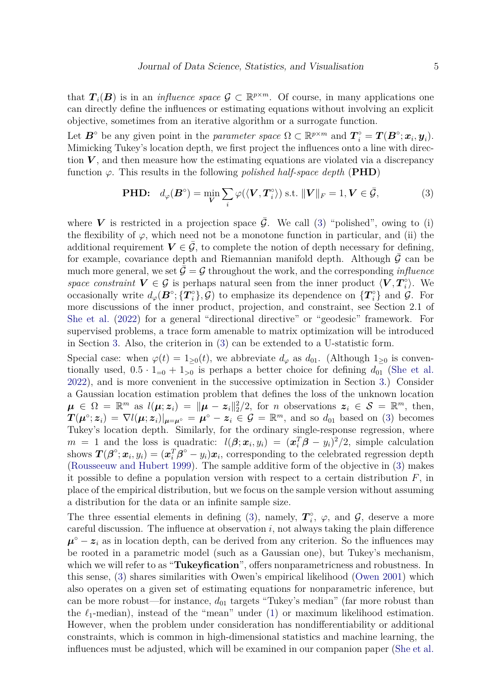that  $T_i(B)$  is in an *influence space*  $\mathcal{G} \subset \mathbb{R}^{p \times m}$ . Of course, in many applications one can directly define the influences or estimating equations without involving an explicit objective, sometimes from an iterative algorithm or a surrogate function.

Let  $\mathbf{B}^{\circ}$  be any given point in the *parameter space*  $\Omega \subset \mathbb{R}^{p \times m}$  and  $\mathbf{T}_i^{\circ} = \mathbf{T}(\mathbf{B}^{\circ}; \mathbf{x}_i, \mathbf{y}_i)$ . Mimicking Tukey's location depth, we first project the influences onto a line with direction  $V$ , and then measure how the estimating equations are violated via a discrepancy function  $\varphi$ . This results in the following *polished half-space depth* (**PHD**)

<span id="page-4-0"></span>**PHD:** 
$$
d_{\varphi}(\boldsymbol{B}^{\circ}) = \min_{\boldsymbol{V}} \sum_{i} \varphi(\langle \boldsymbol{V}, \boldsymbol{T}_{i}^{\circ} \rangle) \text{ s.t. } ||\boldsymbol{V}||_{F} = 1, \boldsymbol{V} \in \bar{\mathcal{G}},
$$
 (3)

where **V** is restricted in a projection space  $\overline{G}$ . We call [\(3\)](#page-4-0) "polished", owing to (i) the flexibility of  $\varphi$ , which need not be a monotone function in particular, and (ii) the additional requirement  $V \in \mathcal{G}$ , to complete the notion of depth necessary for defining, for example, covariance depth and Riemannian manifold depth. Although  $\bar{\mathcal{G}}$  can be much more general, we set  $\mathcal{G} = \mathcal{G}$  throughout the work, and the corresponding *influence space constraint*  $V \in \mathcal{G}$  is perhaps natural seen from the inner product  $\langle V, T_i^{\circ} \rangle$ *i* ⟩. We occasionally write  $d_{\varphi}(\boldsymbol{B}^{\circ}; {\{T_i}^{\circ}\}, \mathcal{G})$  to emphasize its dependence on  ${\{T_i^{\circ}\}}$  and  $\mathcal{G}$ . For more discussions of the inner product, projection, and constraint, see Section 2.1 of [She et al.](#page-23-9) [\(2022\)](#page-23-9) for a general "directional directive" or "geodesic" framework. For supervised problems, a trace form amenable to matrix optimization will be introduced in Section [3.](#page-11-0) Also, the criterion in [\(3\)](#page-4-0) can be extended to a U-statistic form.

Special case: when  $\varphi(t) = 1_{\geq 0}(t)$ , we abbreviate  $d_{\varphi}$  as  $d_{01}$ . (Although  $1_{\geq 0}$  is conventionally used,  $0.5 \cdot 1_{=0} + 1_{>0}$  is perhaps a better choice for defining  $d_{01}$  [\(She et al.](#page-23-9) [2022\)](#page-23-9), and is more convenient in the successive optimization in Section [3.](#page-11-0)) Consider a Gaussian location estimation problem that defines the loss of the unknown location  $\mu \in \Omega = \mathbb{R}^m$  as  $l(\mu; z_i) = ||\mu - z_i||_2^2/2$ , for *n* observations  $z_i \in \mathcal{S} = \mathbb{R}^m$ , then,  $T(\boldsymbol{\mu}^{\circ}; z_i) = \nabla l(\boldsymbol{\mu}; z_i)|_{\boldsymbol{\mu}=\boldsymbol{\mu}^{\circ}} = \boldsymbol{\mu}^{\circ} - z_i \in \mathcal{G} = \mathbb{R}^m$ , and so  $d_{01}$  based on [\(3\)](#page-4-0) becomes Tukey's location depth. Similarly, for the ordinary single-response regression, where  $m = 1$  and the loss is quadratic:  $l(\beta; \mathbf{x}_i, y_i) = (\mathbf{x}_i^T \beta - y_i)^2/2$ , simple calculation shows  $\bm{T}(\bm{\beta}^{\circ}; \bm{x}_i, y_i) = (\bm{x}_i^T \bm{\beta}^{\circ} - y_i)\bm{x}_i$ , corresponding to the celebrated regression depth [\(Rousseeuw and Hubert](#page-22-0) [1999\)](#page-22-0). The sample additive form of the objective in [\(3\)](#page-4-0) makes it possible to define a population version with respect to a certain distribution *F*, in place of the empirical distribution, but we focus on the sample version without assuming a distribution for the data or an infinite sample size.

The three essential elements in defining [\(3\)](#page-4-0), namely,  $T_i^{\circ}$  $\varphi$ <sup>o</sup>,  $\varphi$ , and  $\mathcal{G}$ , deserve a more careful discussion. The influence at observation *i*, not always taking the plain difference  $\mu^{\circ}$  –  $z_i$  as in location depth, can be derived from any criterion. So the influences may be rooted in a parametric model (such as a Gaussian one), but Tukey's mechanism, which we will refer to as "**Tukeyfication**", offers nonparametricness and robustness. In this sense, [\(3\)](#page-4-0) shares similarities with Owen's empirical likelihood [\(Owen](#page-22-14) [2001\)](#page-22-14) which also operates on a given set of estimating equations for nonparametric inference, but can be more robust—for instance,  $d_{01}$  targets "Tukey's median" (far more robust than the  $\ell_1$ -median), instead of the "mean" under [\(1\)](#page-3-1) or maximum likelihood estimation. However, when the problem under consideration has nondifferentiability or additional constraints, which is common in high-dimensional statistics and machine learning, the influences must be adjusted, which will be examined in our companion paper [\(She et al.](#page-23-9)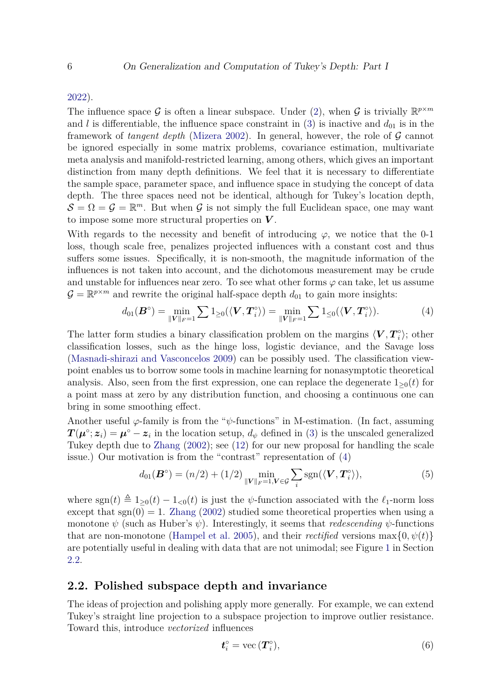#### [2022\)](#page-23-9).

The influence space G is often a linear subspace. Under [\(2\)](#page-3-2), when G is trivially  $\mathbb{R}^{p \times m}$ and *l* is differentiable, the influence space constraint in [\(3\)](#page-4-0) is inactive and  $d_{01}$  is in the framework of *tangent depth* [\(Mizera](#page-22-1) [2002\)](#page-22-1). In general, however, the role of G cannot be ignored especially in some matrix problems, covariance estimation, multivariate meta analysis and manifold-restricted learning, among others, which gives an important distinction from many depth definitions. We feel that it is necessary to differentiate the sample space, parameter space, and influence space in studying the concept of data depth. The three spaces need not be identical, although for Tukey's location depth,  $S = \Omega = \mathcal{G} = \mathbb{R}^m$ . But when  $\mathcal{G}$  is not simply the full Euclidean space, one may want to impose some more structural properties on *V* .

With regards to the necessity and benefit of introducing  $\varphi$ , we notice that the 0-1 loss, though scale free, penalizes projected influences with a constant cost and thus suffers some issues. Specifically, it is non-smooth, the magnitude information of the influences is not taken into account, and the dichotomous measurement may be crude and unstable for influences near zero. To see what other forms  $\varphi$  can take, let us assume  $\mathcal{G} = \mathbb{R}^{p \times m}$  and rewrite the original half-space depth  $d_{01}$  to gain more insights:

<span id="page-5-0"></span>
$$
d_{01}(\boldsymbol{B}^{\circ}) = \min_{\|\boldsymbol{V}\|_{F}=1} \sum 1_{\geq 0} (\langle \boldsymbol{V}, \boldsymbol{T}_{i}^{\circ} \rangle) = \min_{\|\boldsymbol{V}\|_{F}=1} \sum 1_{\leq 0} (\langle \boldsymbol{V}, \boldsymbol{T}_{i}^{\circ} \rangle).
$$
 (4)

The latter form studies a binary classification problem on the margins  $\langle V, T_i^{\circ} \rangle$  $\binom{10}{i}$ ; other classification losses, such as the hinge loss, logistic deviance, and the Savage loss [\(Masnadi-shirazi and Vasconcelos](#page-21-11) [2009\)](#page-21-11) can be possibly used. The classification viewpoint enables us to borrow some tools in machine learning for nonasymptotic theoretical analysis. Also, seen from the first expression, one can replace the degenerate  $1_{\geq 0}(t)$  for a point mass at zero by any distribution function, and choosing a continuous one can bring in some smoothing effect.

Another useful  $\varphi$ -family is from the " $\psi$ -functions" in M-estimation. (In fact, assuming  $T(\mu^{\circ}; z_i) = \mu^{\circ} - z_i$  in the location setup,  $d_{\psi}$  defined in [\(3\)](#page-4-0) is the unscaled generalized Tukey depth due to [Zhang](#page-23-1) [\(2002\)](#page-23-1); see [\(12\)](#page-7-0) for our new proposal for handling the scale issue.) Our motivation is from the "contrast" representation of [\(4\)](#page-5-0)

$$
d_{01}(\boldsymbol{B}^{\circ}) = (n/2) + (1/2) \min_{\|\boldsymbol{V}\|_{F} = 1, \boldsymbol{V} \in \mathcal{G}} \sum_{i} \text{sgn}(\langle \boldsymbol{V}, \boldsymbol{T}_{i}^{\circ} \rangle), \tag{5}
$$

where  $\text{sgn}(t) \triangleq 1_{\geq 0}(t) - 1_{\leq 0}(t)$  is just the *ψ*-function associated with the  $\ell_1$ -norm loss except that  $sgn(0) = 1$ . [Zhang](#page-23-1) [\(2002\)](#page-23-1) studied some theoretical properties when using a monotone  $\psi$  (such as Huber's  $\psi$ ). Interestingly, it seems that *redescending*  $\psi$ -functions that are non-monotone [\(Hampel et al.](#page-20-12) [2005\)](#page-20-12), and their *rectified* versions  $\max\{0, \psi(t)\}$ are potentially useful in dealing with data that are not unimodal; see Figure [1](#page-8-0) in Section [2.2.](#page-5-1)

#### <span id="page-5-1"></span>**2.2. Polished subspace depth and invariance**

The ideas of projection and polishing apply more generally. For example, we can extend Tukey's straight line projection to a subspace projection to improve outlier resistance. Toward this, introduce *vectorized* influences

<span id="page-5-2"></span>
$$
\boldsymbol{t}_{i}^{\circ} = \text{vec}\left(\boldsymbol{T}_{i}^{\circ}\right),\tag{6}
$$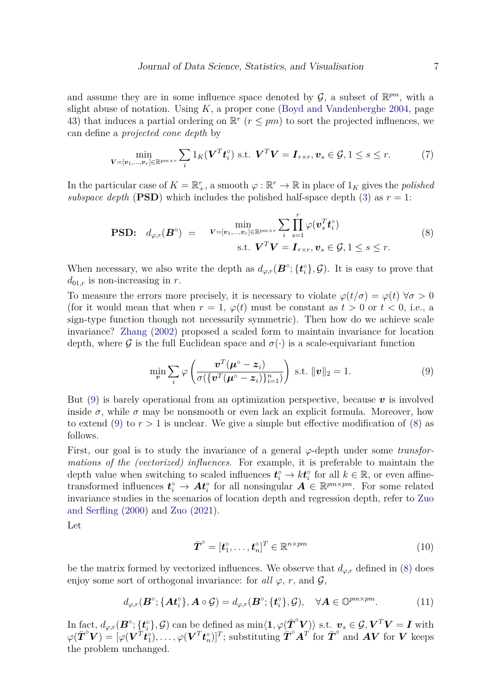and assume they are in some influence space denoted by  $\mathcal{G}$ , a subset of  $\mathbb{R}^{pm}$ , with a slight abuse of notation. Using *K*, a proper cone [\(Boyd and Vandenberghe](#page-19-5) [2004,](#page-19-5) page 43) that induces a partial ordering on  $\mathbb{R}^r$  ( $r \leq pm$ ) to sort the projected influences, we can define a *projected cone depth* by

$$
\min_{\mathbf{V}=[\mathbf{v}_1,\dots,\mathbf{v}_r]\in\mathbb{R}^{pm\times r}}\sum_i 1_K(\mathbf{V}^T \mathbf{t}_i^{\circ}) \text{ s.t. } \mathbf{V}^T \mathbf{V}=\mathbf{I}_{r\times r}, \mathbf{v}_s\in\mathcal{G}, 1\leq s\leq r. \tag{7}
$$

In the particular case of  $K = \mathbb{R}_{+}^{r}$ , a smooth  $\varphi : \mathbb{R}^{r} \to \mathbb{R}$  in place of  $1_{K}$  gives the *polished subspace depth* (**PSD**) which includes the polished half-space depth [\(3\)](#page-4-0) as  $r = 1$ :

$$
\text{PSD:} \quad d_{\varphi,r}(\mathbf{B}^{\circ}) = \min_{\mathbf{V}=[\mathbf{v}_1,\dots,\mathbf{v}_r] \in \mathbb{R}^{pm \times r}} \sum_{i} \prod_{s=1}^{r} \varphi(\mathbf{v}_s^T \mathbf{t}_i^{\circ})
$$
\n
$$
\text{s.t.} \quad \mathbf{V}^T \mathbf{V} = \mathbf{I}_{r \times r}, \mathbf{v}_s \in \mathcal{G}, 1 \le s \le r. \tag{8}
$$

When necessary, we also write the depth as  $d_{\varphi,r}(\mathbf{B}^{\circ}; {\{\boldsymbol{t}_i^{\circ}\}} , \mathcal{G})$ . It is easy to prove that  $d_{01,r}$  is non-increasing in *r*.

To measure the errors more precisely, it is necessary to violate  $\varphi(t/\sigma) = \varphi(t) \,\forall \sigma > 0$ (for it would mean that when  $r = 1$ ,  $\varphi(t)$  must be constant as  $t > 0$  or  $t < 0$ , i.e., a sign-type function though not necessarily symmetric). Then how do we achieve scale invariance? [Zhang](#page-23-1) [\(2002\)](#page-23-1) proposed a scaled form to maintain invariance for location depth, where G is the full Euclidean space and  $\sigma(\cdot)$  is a scale-equivariant function

<span id="page-6-1"></span><span id="page-6-0"></span>
$$
\min_{\boldsymbol{v}} \sum_{i} \varphi \left( \frac{\boldsymbol{v}^{T}(\boldsymbol{\mu}^{\circ} - \boldsymbol{z}_{i})}{\sigma(\{\boldsymbol{v}^{T}(\boldsymbol{\mu}^{\circ} - \boldsymbol{z}_{i})\}_{i=1}^{n})} \right) \text{ s.t. } \|\boldsymbol{v}\|_{2} = 1. \tag{9}
$$

But [\(9\)](#page-6-0) is barely operational from an optimization perspective, because *v* is involved inside  $\sigma$ , while  $\sigma$  may be nonsmooth or even lack an explicit formula. Moreover, how to extend [\(9\)](#page-6-0) to  $r > 1$  is unclear. We give a simple but effective modification of [\(8\)](#page-6-1) as follows.

First, our goal is to study the invariance of a general *φ*-depth under some *transformations of the (vectorized) influences*. For example, it is preferable to maintain the depth value when switching to scaled influences  $t_i^{\circ} \to k t_i^{\circ}$  for all  $k \in \mathbb{R}$ , or even affinetransformed influences  $t_i^{\circ} \to At_i^{\circ}$  for all nonsingular  $A \in \mathbb{R}^{pm \times pm}$ . For some related invariance studies in the scenarios of location depth and regression depth, refer to [Zuo](#page-23-6) [and Serfling](#page-23-6) [\(2000\)](#page-23-6) and [Zuo](#page-23-2) [\(2021\)](#page-23-2).

Let

<span id="page-6-2"></span>
$$
\bar{\boldsymbol{T}}^{\circ} = [\boldsymbol{t}_1^{\circ}, \dots, \boldsymbol{t}_n^{\circ}]^T \in \mathbb{R}^{n \times pm}
$$
\n(10)

be the matrix formed by vectorized influences. We observe that  $d_{\varphi,r}$  defined in [\(8\)](#page-6-1) does enjoy some sort of orthogonal invariance: for all  $\varphi$ , *r*, and  $\mathcal{G}$ ,

$$
d_{\varphi,r}(\boldsymbol{B}^{\circ}; {\boldsymbol{A}}t_i^{\circ}), \boldsymbol{A} \circ \mathcal{G}) = d_{\varphi,r}(\boldsymbol{B}^{\circ}; {\boldsymbol{t}}_i^{\circ}), \quad \forall \boldsymbol{A} \in \mathbb{O}^{pm \times pm}. \tag{11}
$$

 $\text{In fact, } d_{\varphi,r}(\mathbf{B}^{\circ}; {\{\mathbf{t}_{i}^{\circ}\}} , \mathcal{G}) \text{ can be defined as } \min\langle \mathbf{1}, \varphi(\bar{\boldsymbol{T}}^{\circ}\mathbf{V})\rangle \text{ s.t. } \mathbf{v}_{s} \in \mathcal{G}, \mathbf{V}^{T}\mathbf{V} = \mathbf{I} \text{ with }$  $\varphi(\bar{\boldsymbol{T}}^{\circ}\boldsymbol{V}) = [\varphi(\boldsymbol{V}^{T}\boldsymbol{t}_{1}^{\circ}), \ldots, \varphi(\boldsymbol{V}^{T}\boldsymbol{t}_{n}^{\circ})]^{T}$ ; substituting  $\bar{\boldsymbol{T}}^{\circ}\boldsymbol{A}^{T'}$  for  $\bar{\boldsymbol{T}}^{\circ}$  and  $\boldsymbol{A}\boldsymbol{V}$  for  $\boldsymbol{V}$  keeps the problem unchanged.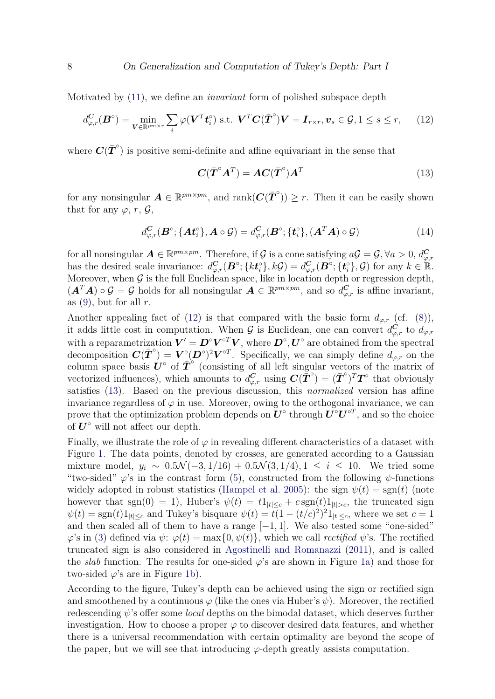Motivated by [\(11\)](#page-6-2), we define an *invariant* form of polished subspace depth

$$
d_{\varphi,r}^{\mathbf{C}}(\mathbf{B}^{\circ}) = \min_{\mathbf{V} \in \mathbb{R}^{pm \times r}} \sum_{i} \varphi(\mathbf{V}^{T} \mathbf{t}_{i}^{\circ}) \text{ s.t. } \mathbf{V}^{T} \mathbf{C}(\bar{\mathbf{T}}^{\circ}) \mathbf{V} = \mathbf{I}_{r \times r}, \mathbf{v}_{s} \in \mathcal{G}, 1 \leq s \leq r, \qquad (12)
$$

where  $C(\bar{T}^{\circ})$  is positive semi-definite and affine equivariant in the sense that

<span id="page-7-1"></span><span id="page-7-0"></span>
$$
\boldsymbol{C}(\bar{\boldsymbol{T}}^{\circ}\boldsymbol{A}^{T}) = \boldsymbol{A}\boldsymbol{C}(\bar{\boldsymbol{T}}^{\circ})\boldsymbol{A}^{T}
$$
\n(13)

for any nonsingular  $A \in \mathbb{R}^{pm \times pm}$ , and  $\text{rank}(\mathbf{C}(\bar{\boldsymbol{T}}^{\circ})) \geq r$ . Then it can be easily shown that for any  $\varphi$ , *r*,  $\mathcal{G}$ ,

$$
d_{\varphi,r}^{\mathbf{C}}(\mathbf{B}^{\circ}; \{\mathbf{A} \mathbf{t}_i^{\circ}\}, \mathbf{A} \circ \mathcal{G}) = d_{\varphi,r}^{\mathbf{C}}(\mathbf{B}^{\circ}; \{\mathbf{t}_i^{\circ}\}, (\mathbf{A}^T \mathbf{A}) \circ \mathcal{G})
$$
(14)

for all nonsingular  $A \in \mathbb{R}^{pm \times pm}$ . Therefore, if G is a cone satisfying  $aG = G$ ,  $\forall a > 0$ ,  $d_{\varphi, r}^C$ has the desired scale invariance:  $d_{\varphi,r}^{\mathbf{C}}(\mathbf{B}^{\circ}; \{k \mathbf{t}_i^{\circ}\}, k\mathcal{G}) = d_{\varphi,r}^{\mathbf{C}}(\mathbf{B}^{\circ}; \{\mathbf{t}_i^{\circ}\}, \mathcal{G})$  for any  $k \in \mathbb{R}$ . Moreover, when  $G$  is the full Euclidean space, like in location depth or regression depth,  $(A^T A) \circ \mathcal{G} = \mathcal{G}$  holds for all nonsingular  $A \in \mathbb{R}^{pm \times pm}$ , and so  $d_{\varphi,r}^C$  is affine invariant, as  $(9)$ , but for all  $r$ .

Another appealing fact of [\(12\)](#page-7-0) is that compared with the basic form  $d_{\varphi,r}$  (cf. [\(8\)](#page-6-1)), it adds little cost in computation. When  $G$  is Euclidean, one can convert  $d_{\varphi,r}^C$  to  $d_{\varphi,r}$ with a reparametrization  $V' = D^{\circ}V^{\circ T}V$ , where  $D^{\circ}, U^{\circ}$  are obtained from the spectral decomposition  $\mathbf{C}(\bar{\boldsymbol{T}}^{\circ}) = \boldsymbol{V}^{\circ}(\boldsymbol{D}^{\circ})^2 \boldsymbol{V}^{\circ T}$ . Specifically, we can simply define  $d_{\varphi,r}$  on the column space basis  $\hat{\mathbf{U}}^{\circ}$  of  $\overline{\mathbf{T}}^{\circ}$  (consisting of all left singular vectors of the matrix of vectorized influences), which amounts to  $d_{\varphi,r}^C$  using  $C(\tilde{T}^{\circ}) = (\bar{T}^{\circ})^T T^{\circ}$  that obviously satisfies [\(13\)](#page-7-1). Based on the previous discussion, this *normalized* version has affine invariance regardless of  $\varphi$  in use. Moreover, owing to the orthogonal invariance, we can prove that the optimization problem depends on  $U^{\circ}$  through  $U^{\circ}U^{\circ T}$ , and so the choice of  $U^{\circ}$  will not affect our depth.

Finally, we illustrate the role of  $\varphi$  in revealing different characteristics of a dataset with Figure [1.](#page-8-0) The data points, denoted by crosses, are generated according to a Gaussian mixture model,  $y_i \sim 0.5\mathcal{N}(-3,1/16) + 0.5\mathcal{N}(3,1/4), 1 ≤ i ≤ 10$ . We tried some "two-sided"  $\varphi$ 's in the contrast form [\(5\)](#page-5-2), constructed from the following  $\psi$ -functions widely adopted in robust statistics [\(Hampel et al.](#page-20-12) [2005\)](#page-20-12): the sign  $\psi(t) = \text{sgn}(t)$  (note however that sgn(0) = 1), Huber's  $\psi(t) = t_1|_{t \leq c} + c \operatorname{sgn}(t)1_{|t| > c}$ , the truncated sign  $\psi(t) = \text{sgn}(t)1_{|t| \leq c}$  and Tukey's bisquare  $\psi(t) = t(1 - (t/c)^2)^21_{|t| \leq c}$ , where we set  $c = 1$ and then scaled all of them to have a range  $[-1, 1]$ . We also tested some "one-sided"  $\varphi$ 's in [\(3\)](#page-4-0) defined via  $\psi$ :  $\varphi(t) = \max\{0, \psi(t)\}\$ , which we call *rectified*  $\psi$ 's. The rectified truncated sign is also considered in [Agostinelli and Romanazzi](#page-19-4) [\(2011\)](#page-19-4), and is called the *slab* function. The results for one-sided  $\varphi$ 's are shown in Figure [1a\)](#page-8-1) and those for two-sided  $\varphi$ 's are in Figure [1b\)](#page-8-2).

According to the figure, Tukey's depth can be achieved using the sign or rectified sign and smoothened by a continuous  $\varphi$  (like the ones via Huber's  $\psi$ ). Moreover, the rectified redescending *ψ*'s offer some *local* depths on the bimodal dataset, which deserves further investigation. How to choose a proper  $\varphi$  to discover desired data features, and whether there is a universal recommendation with certain optimality are beyond the scope of the paper, but we will see that introducing  $\varphi$ -depth greatly assists computation.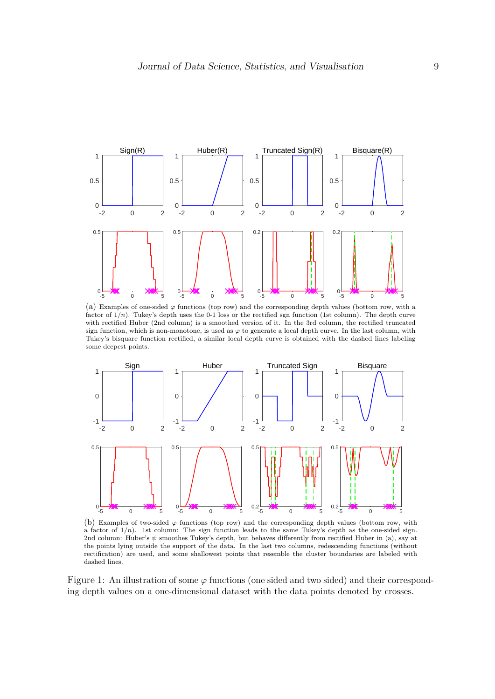<span id="page-8-1"></span><span id="page-8-0"></span>

(a) Examples of one-sided  $\varphi$  functions (top row) and the corresponding depth values (bottom row, with a factor of 1*/n*). Tukey's depth uses the 0-1 loss or the rectified sgn function (1st column). The depth curve with rectified Huber (2nd column) is a smoothed version of it. In the 3rd column, the rectified truncated sign function, which is non-monotone, is used as  $\varphi$  to generate a local depth curve. In the last column, with Tukey's bisquare function rectified, a similar local depth curve is obtained with the dashed lines labeling some deepest points.

<span id="page-8-2"></span>

(b) Examples of two-sided *φ* functions (top row) and the corresponding depth values (bottom row, with a factor of 1*/n*). 1st column: The sign function leads to the same Tukey's depth as the one-sided sign. 2nd column: Huber's *ψ* smoothes Tukey's depth, but behaves differently from rectified Huber in (a), say at the points lying outside the support of the data. In the last two columns, redescending functions (without rectification) are used, and some shallowest points that resemble the cluster boundaries are labeled with dashed lines.

Figure 1: An illustration of some *φ* functions (one sided and two sided) and their corresponding depth values on a one-dimensional dataset with the data points denoted by crosses.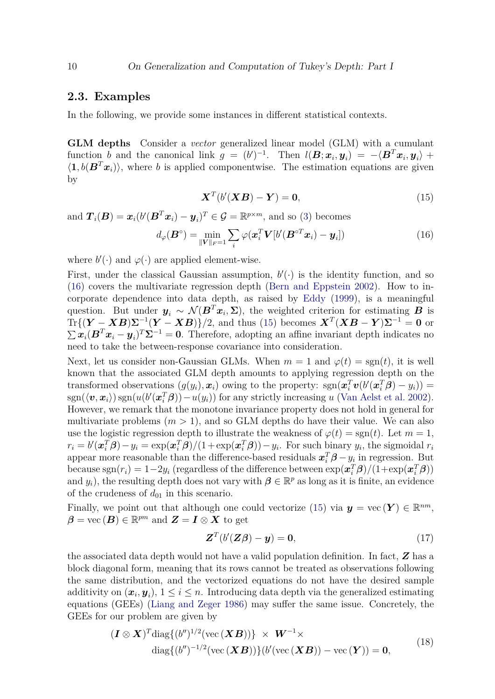#### **2.3. Examples**

In the following, we provide some instances in different statistical contexts.

**GLM depths** Consider a *vector* generalized linear model (GLM) with a cumulant function *b* and the canonical link  $g = (b')^{-1}$ . Then  $l(B; x_i, y_i) = -\langle B^T x_i, y_i \rangle +$  $\langle \mathbf{1}, b(\mathbf{B}^T \mathbf{x}_i) \rangle$ , where *b* is applied componentwise. The estimation equations are given by

<span id="page-9-1"></span><span id="page-9-0"></span>
$$
\boldsymbol{X}^T(b'(\boldsymbol{X}\boldsymbol{B}) - \boldsymbol{Y}) = \mathbf{0},\tag{15}
$$

and  $T_i(B) = x_i(b'(B^T x_i) - y_i)^T \in \mathcal{G} = \mathbb{R}^{p \times m}$ , and so [\(3\)](#page-4-0) becomes

$$
d_{\varphi}(\boldsymbol{B}^{\circ}) = \min_{\|\boldsymbol{V}\|_{F} = 1} \sum_{i} \varphi(\boldsymbol{x}_{i}^{T} \boldsymbol{V}[b'(\boldsymbol{B}^{\circ T} \boldsymbol{x}_{i}) - \boldsymbol{y}_{i}])
$$
(16)

where  $b'(\cdot)$  and  $\varphi(\cdot)$  are applied element-wise.

First, under the classical Gaussian assumption,  $b'(\cdot)$  is the identity function, and so [\(16\)](#page-9-0) covers the multivariate regression depth [\(Bern and Eppstein](#page-19-6) [2002\)](#page-19-6). How to incorporate dependence into data depth, as raised by [Eddy](#page-20-13) [\(1999\)](#page-20-13), is a meaningful question. But under  $y_i \sim \mathcal{N}(B^T x_i, \Sigma)$ , the weighted criterion for estimating *B* is  $Tr\{(\boldsymbol{Y} - \boldsymbol{X}\boldsymbol{B})\boldsymbol{\Sigma}^{-1}(\boldsymbol{Y} - \boldsymbol{X}\boldsymbol{B})\}/2$ , and thus [\(15\)](#page-9-1) becomes  $\boldsymbol{X}^T(\boldsymbol{X}\boldsymbol{B} - \boldsymbol{Y})\boldsymbol{\Sigma}^{-1} = \boldsymbol{0}$  or  $\sum x_i (\mathbf{B}^T x_i - y_i)^T \mathbf{\Sigma}^{-1} = \mathbf{0}$ . Therefore, adopting an affine invariant depth indicates no need to take the between-response covariance into consideration.

Next, let us consider non-Gaussian GLMs. When  $m = 1$  and  $\varphi(t) = \text{sgn}(t)$ , it is well known that the associated GLM depth amounts to applying regression depth on the transformed observations  $(g(y_i), \boldsymbol{x}_i)$  owing to the property:  $sgn(\boldsymbol{x}_i^T \boldsymbol{v}(b'(\boldsymbol{x}_i^T \boldsymbol{\beta}) - y_i)) =$  $\text{sgn}(\langle v, x_i \rangle) \text{sgn}(u(b'(\mathbf{x}_i^T \boldsymbol{\beta})) - u(y_i))$  for any strictly increasing *u* [\(Van Aelst et al.](#page-23-10) [2002\)](#page-23-10). However, we remark that the monotone invariance property does not hold in general for multivariate problems  $(m > 1)$ , and so GLM depths do have their value. We can also use the logistic regression depth to illustrate the weakness of  $\varphi(t) = \text{sgn}(t)$ . Let  $m = 1$ ,  $r_i = b'(\boldsymbol{x}_i^T \boldsymbol{\beta}) - y_i = \exp(\boldsymbol{x}_i^T \boldsymbol{\beta})/(1 + \exp(\boldsymbol{x}_i^T \boldsymbol{\beta})) - y_i$ . For such binary  $y_i$ , the sigmoidal  $r_i$ appear more reasonable than the difference-based residuals  $x_i^T \beta - y_i$  in regression. But  $\Delta$  because  $\text{sgn}(r_i) = 1-2y_i$  (regardless of the difference between  $\exp(\bm{x}_i^T\bm{\beta})/(1+\exp(\bm{x}_i^T\bm{\beta}))$ and  $y_i$ ), the resulting depth does not vary with  $\boldsymbol{\beta} \in \mathbb{R}^p$  as long as it is finite, an evidence of the crudeness of  $d_{01}$  in this scenario.

Finally, we point out that although one could vectorize [\(15\)](#page-9-1) via  $y = \text{vec}(\boldsymbol{Y}) \in \mathbb{R}^{nm}$ ,  $\boldsymbol{\beta} = \text{vec}(\boldsymbol{B}) \in \mathbb{R}^{pm}$  and  $\boldsymbol{Z} = \boldsymbol{I} \otimes \boldsymbol{X}$  to get

<span id="page-9-2"></span>
$$
\mathbf{Z}^T(b'(\mathbf{Z}\boldsymbol{\beta}) - \mathbf{y}) = \mathbf{0},\tag{17}
$$

the associated data depth would not have a valid population definition. In fact, *Z* has a block diagonal form, meaning that its rows cannot be treated as observations following the same distribution, and the vectorized equations do not have the desired sample additivity on  $(x_i, y_i)$ ,  $1 \le i \le n$ . Introducing data depth via the generalized estimating equations (GEEs) [\(Liang and Zeger](#page-21-12) [1986\)](#page-21-12) may suffer the same issue. Concretely, the GEEs for our problem are given by

$$
(\boldsymbol{I} \otimes \boldsymbol{X})^T \text{diag}\{(b'')^{1/2}(\text{vec}(\boldsymbol{X}\boldsymbol{B}))\} \times \boldsymbol{W}^{-1} \times
$$
  
diag $\{(b'')^{-1/2}(\text{vec}(\boldsymbol{X}\boldsymbol{B}))\}(b'(\text{vec}(\boldsymbol{X}\boldsymbol{B})) - \text{vec}(\boldsymbol{Y})) = \mathbf{0},$  (18)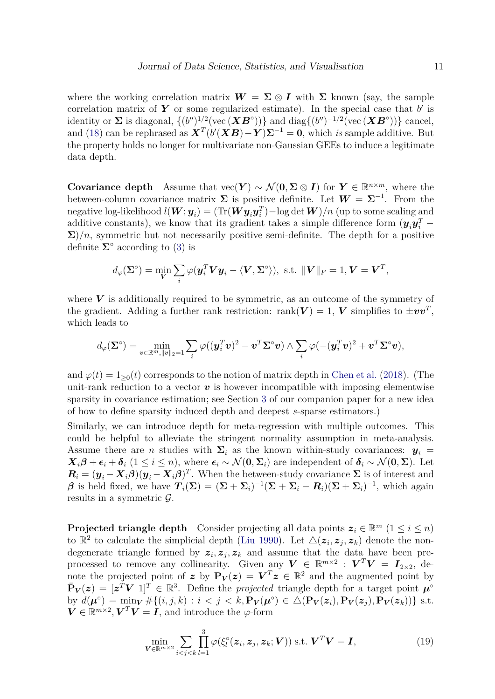where the working correlation matrix  $W = \Sigma \otimes I$  with  $\Sigma$  known (say, the sample correlation matrix of  $Y$  or some regularized estimate). In the special case that  $b'$  is identity or  $\Sigma$  is diagonal,  $\{(b'')^{1/2}(\text{vec}(\bm{X}\bm{B}^{\circ}))\}$  and diag $\{(b'')^{-1/2}(\text{vec}(\bm{X}\bm{B}^{\circ}))\}$  cancel, and [\(18\)](#page-9-2) can be rephrased as  $\mathbf{X}^T (b'(\mathbf{X}\mathbf{B}) - \mathbf{Y}) \mathbf{\Sigma}^{-1} = \mathbf{0}$ , which *is* sample additive. But the property holds no longer for multivariate non-Gaussian GEEs to induce a legitimate data depth.

**Covariance depth** Assume that  $\text{vec}(\boldsymbol{Y}) \sim \mathcal{N}(\boldsymbol{0}, \boldsymbol{\Sigma} \otimes \boldsymbol{I})$  for  $\boldsymbol{Y} \in \mathbb{R}^{n \times m}$ , where the between-column covariance matrix  $\Sigma$  is positive definite. Let  $W = \Sigma^{-1}$ . From the negative log-likelihood  $l(\bm{W};\bm{y}_i) = (\text{Tr}(\bm{W}\bm{y}_i\bm{y}_i^T) - \log \det \bm{W})/n$  (up to some scaling and additive constants), we know that its gradient takes a simple difference form  $(y_i y_i^T \Sigma$ )/n, symmetric but not necessarily positive semi-definite. The depth for a positive definite  $\Sigma^{\circ}$  according to [\(3\)](#page-4-0) is

$$
d_{\varphi}(\mathbf{\Sigma}^{\circ}) = \min_{\mathbf{V}} \sum_{i} \varphi(\mathbf{y}_{i}^{T} \mathbf{V} \mathbf{y}_{i} - \langle \mathbf{V}, \mathbf{\Sigma}^{\circ} \rangle), \text{ s.t. } \|\mathbf{V}\|_{F} = 1, \mathbf{V} = \mathbf{V}^{T},
$$

where  $V$  is additionally required to be symmetric, as an outcome of the symmetry of the gradient. Adding a further rank restriction: rank $(V) = 1$ ,  $V$  simplifies to  $\pm v v^T$ , which leads to

$$
d_\varphi(\boldsymbol{\Sigma}^\circ) = \min_{\boldsymbol{v}\in\mathbb{R}^m, \|\boldsymbol{v}\|_2=1} \sum_i \varphi((\boldsymbol{y}_i^T\boldsymbol{v})^2 - \boldsymbol{v}^T\boldsymbol{\Sigma}^\circ \boldsymbol{v}) \wedge \sum_i \varphi(-(\boldsymbol{y}_i^T\boldsymbol{v})^2 + \boldsymbol{v}^T\boldsymbol{\Sigma}^\circ \boldsymbol{v}),
$$

and  $\varphi(t) = 1_{\geq 0}(t)$  corresponds to the notion of matrix depth in [Chen et al.](#page-20-3) [\(2018\)](#page-20-3). (The unit-rank reduction to a vector  $\boldsymbol{v}$  is however incompatible with imposing elementwise sparsity in covariance estimation; see Section [3](#page-11-0) of our companion paper for a new idea of how to define sparsity induced depth and deepest *s*-sparse estimators.)

Similarly, we can introduce depth for meta-regression with multiple outcomes. This could be helpful to alleviate the stringent normality assumption in meta-analysis. Assume there are *n* studies with  $\Sigma_i$  as the known within-study covariances:  $y_i$  =  $\mathbf{X}_i\boldsymbol{\beta} + \boldsymbol{\epsilon}_i + \boldsymbol{\delta}_i$   $(1 \leq i \leq n)$ , where  $\boldsymbol{\epsilon}_i \sim \mathcal{N}(\mathbf{0}, \boldsymbol{\Sigma}_i)$  are independent of  $\boldsymbol{\delta}_i \sim \mathcal{N}(\mathbf{0}, \boldsymbol{\Sigma})$ . Let  $R_i = (y_i - X_i \beta)(y_i - X_i \beta)^T$ . When the between-study covariance  $\Sigma$  is of interest and  $\beta$  is held fixed, we have  $T_i(\Sigma) = (\Sigma + \Sigma_i)^{-1}(\Sigma + \Sigma_i - R_i)(\Sigma + \Sigma_i)^{-1}$ , which again results in a symmetric  $\mathcal{G}$ .

**Projected triangle depth** Consider projecting all data points  $z_i \in \mathbb{R}^m$   $(1 \le i \le n)$ to  $\mathbb{R}^2$  to calculate the simplicial depth [\(Liu](#page-21-0) [1990\)](#page-21-0). Let  $\Delta(z_i, z_j, z_k)$  denote the nondegenerate triangle formed by  $z_i, z_j, z_k$  and assume that the data have been preprocessed to remove any collinearity. Given any  $V \in \mathbb{R}^{m \times 2}$ :  $V^T V = I_{2 \times 2}$ , denote the projected point of *z* by  $P_V(z) = V^T z \in \mathbb{R}^2$  and the augmented point by  $\bar{\mathbf{P}}_V(z) = [z^T V \; 1]^T \in \mathbb{R}^3$ . Define the *projected* triangle depth for a target point  $\mu^{\circ}$ by  $d(\boldsymbol{\mu}^{\circ}) = \min_{\mathbf{V}} \# \{(i, j, k) : i < j < k, \mathbf{P}_{\mathbf{V}}(\boldsymbol{\mu}^{\circ}) \in \Delta(\mathbf{P}_{\mathbf{V}}(\boldsymbol{z}_i), \mathbf{P}_{\mathbf{V}}(\boldsymbol{z}_j), \mathbf{P}_{\mathbf{V}}(\boldsymbol{z}_k))\}$  s.t.  $\mathbf{V} \in \mathbb{R}^{m \times 2}$ ,  $\mathbf{V}^T \mathbf{V} = \mathbf{I}$ , and introduce the *φ*-form

<span id="page-10-0"></span>
$$
\min_{\mathbf{V} \in \mathbb{R}^{m \times 2}} \sum_{i < j < k} \prod_{l=1}^{3} \varphi(\xi_l^{\circ}(\mathbf{z}_i, \mathbf{z}_j, \mathbf{z}_k; \mathbf{V})) \text{ s.t. } \mathbf{V}^T \mathbf{V} = \mathbf{I},\tag{19}
$$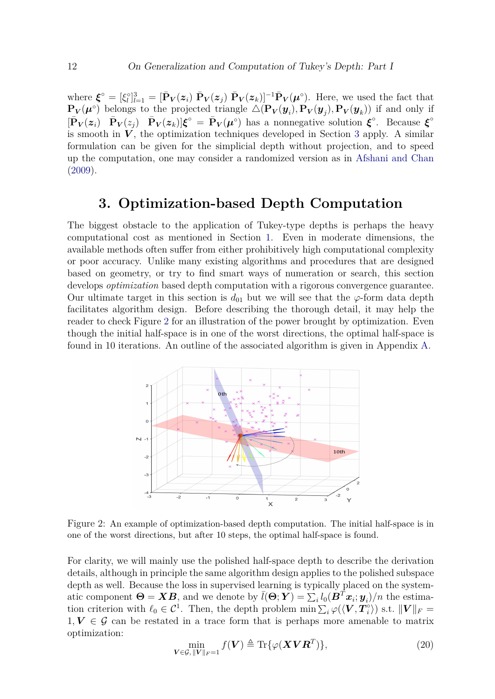where  $\boldsymbol{\xi}^{\circ} = [\xi_{l}]_{l=1}^{3} = [\bar{\mathbf{P}}_{V}(z_{i}) \ \bar{\mathbf{P}}_{V}(z_{j}) \ \bar{\mathbf{P}}_{V}(z_{k})]^{-1} \bar{\mathbf{P}}_{V}(\boldsymbol{\mu}^{\circ})$ . Here, we used the fact that  $\mathbf{P}_V(\mu^{\circ})$  belongs to the projected triangle  $\Delta(\mathbf{P}_V(\boldsymbol{y}_i), \mathbf{P}_V(\boldsymbol{y}_j), \mathbf{P}_V(\boldsymbol{y}_k))$  if and only if  $[\bar{\mathbf{P}}_V(z_i) \quad \bar{\mathbf{P}}_V(z_j) \quad \bar{\mathbf{P}}_V(z_k)]\boldsymbol{\xi}^\circ = \bar{\mathbf{P}}_V(\boldsymbol{\mu}^\circ)$  has a nonnegative solution  $\boldsymbol{\xi}^\circ$ . Because  $\boldsymbol{\xi}^\circ$ is smooth in  $V$ , the optimization techniques developed in Section [3](#page-11-0) apply. A similar formulation can be given for the simplicial depth without projection, and to speed up the computation, one may consider a randomized version as in [Afshani and Chan](#page-19-3) [\(2009\)](#page-19-3).

# **3. Optimization-based Depth Computation**

<span id="page-11-0"></span>The biggest obstacle to the application of Tukey-type depths is perhaps the heavy computational cost as mentioned in Section [1.](#page-0-0) Even in moderate dimensions, the available methods often suffer from either prohibitively high computational complexity or poor accuracy. Unlike many existing algorithms and procedures that are designed based on geometry, or try to find smart ways of numeration or search, this section develops *optimization* based depth computation with a rigorous convergence guarantee. Our ultimate target in this section is  $d_{01}$  but we will see that the  $\varphi$ -form data depth facilitates algorithm design. Before describing the thorough detail, it may help the reader to check Figure [2](#page-11-1) for an illustration of the power brought by optimization. Even though the initial half-space is in one of the worst directions, the optimal half-space is found in 10 iterations. An outline of the associated algorithm is given in Appendix [A.](#page-24-0)

<span id="page-11-1"></span>

Figure 2: An example of optimization-based depth computation. The initial half-space is in one of the worst directions, but after 10 steps, the optimal half-space is found.

For clarity, we will mainly use the polished half-space depth to describe the derivation details, although in principle the same algorithm design applies to the polished subspace depth as well. Because the loss in supervised learning is typically placed on the systematic component  $\Theta = \mathbf{X}\mathbf{B}$ , and we denote by  $\bar{l}(\Theta; \mathbf{Y}) = \sum_i l_0(\mathbf{B}^T \mathbf{x}_i; \mathbf{y}_i)/n$  the estimation criterion with  $\ell_0 \in C^1$ . Then, the depth problem min  $\sum_i \varphi(\langle \mathbf{V}, \mathbf{T}_i^{\circ} \rangle)$  $\ket{\mathsf{a}}$ s.t.  $\|\boldsymbol{V}\|_F =$  $1, V \in \mathcal{G}$  can be restated in a trace form that is perhaps more amenable to matrix optimization:

<span id="page-11-2"></span>
$$
\min_{\mathbf{V}\in\mathcal{G},\|\mathbf{V}\|_F=1}f(\mathbf{V})\triangleq\text{Tr}\{\varphi(\mathbf{X}\mathbf{V}\mathbf{R}^T)\},\tag{20}
$$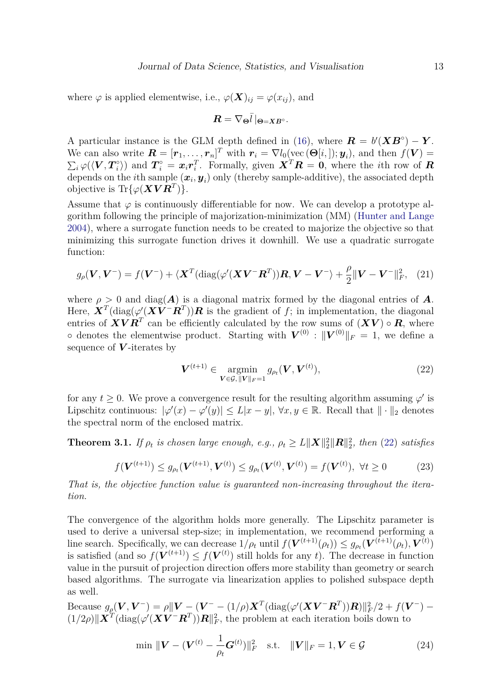where  $\varphi$  is applied elementwise, i.e.,  $\varphi(\boldsymbol{X})_{ij} = \varphi(x_{ij})$ , and

$$
\boldsymbol{R}=\nabla_{\boldsymbol{\Theta}}\bar{l}\,|_{\boldsymbol{\Theta}=\boldsymbol{X}\boldsymbol{B}^{\circ}}.
$$

A particular instance is the GLM depth defined in [\(16\)](#page-9-0), where  $\mathbf{R} = b'(\mathbf{X}\mathbf{B}^{\circ}) - \mathbf{Y}$ . We can also write  $\mathbf{R} = [\mathbf{r}_1, \dots, \mathbf{r}_n]^T$  with  $\mathbf{r}_i = \nabla l_0(\text{vec}(\mathbf{\Theta}[i,]); \mathbf{y}_i)$ , and then  $f(\mathbf{V}) =$  $\sum_i \varphi(\langle \boldsymbol{V}, \boldsymbol{T}^{\circ}_i$  $\mathbf{F}_i^{\circ}$ ) and  $\mathbf{T}_i^{\circ} = \mathbf{x}_i \mathbf{r}_i^T$ . Formally, given  $\mathbf{X}^T \mathbf{R} = \mathbf{0}$ , where the *i*th row of  $\mathbf{R}$ depends on the *i*<sup>th</sup> sample  $(x_i, y_i)$  only (thereby sample-additive), the associated depth objective is  $\text{Tr}\{\varphi(\boldsymbol{X}\boldsymbol{V}\boldsymbol{R}^T)\}.$ 

Assume that  $\varphi$  is continuously differentiable for now. We can develop a prototype algorithm following the principle of majorization-minimization (MM) [\(Hunter and Lange](#page-20-14) [2004\)](#page-20-14), where a surrogate function needs to be created to majorize the objective so that minimizing this surrogate function drives it downhill. We use a quadratic surrogate function:

$$
g_{\rho}(\boldsymbol{V}, \boldsymbol{V}^{-}) = f(\boldsymbol{V}^{-}) + \langle \boldsymbol{X}^{T}(\text{diag}(\varphi'(\boldsymbol{X}\boldsymbol{V}^{-}\boldsymbol{R}^{T}))\boldsymbol{R}, \boldsymbol{V} - \boldsymbol{V}^{-}\rangle + \frac{\rho}{2}\|\boldsymbol{V} - \boldsymbol{V}^{-}\|_{F}^{2}, \quad (21)
$$

where  $\rho > 0$  and diag( $\vec{A}$ ) is a diagonal matrix formed by the diagonal entries of  $\vec{A}$ . Here,  $\boldsymbol{X}^T$ (diag( $\varphi'(\boldsymbol{X}\boldsymbol{V}^-\boldsymbol{R}^T)$ ) $\boldsymbol{R}$  is the gradient of  $f$ ; in implementation, the diagonal entries of  $\boldsymbol{X} \boldsymbol{V} \boldsymbol{R}^T$  can be efficiently calculated by the row sums of  $(\boldsymbol{X} \boldsymbol{V}) \circ \boldsymbol{R}$ , where ∘ denotes the elementwise product. Starting with  $V^{(0)}$  :  $||V^{(0)}||_F = 1$ , we define a sequence of *V* -iterates by

<span id="page-12-0"></span>
$$
V^{(t+1)} \in \mathop{\rm argmin}_{V \in \mathcal{G}, ||V||_F = 1} g_{\rho_t}(V, V^{(t)}),
$$
\n(22)

for any  $t \geq 0$ . We prove a convergence result for the resulting algorithm assuming  $\varphi'$  is Lipschitz continuous:  $|\varphi'(x) - \varphi'(y)| \leq L|x - y|, \forall x, y \in \mathbb{R}$ . Recall that  $|| \cdot ||_2$  denotes the spectral norm of the enclosed matrix.

**Theorem 3.1.** *If*  $\rho_t$  *is chosen large enough, e.g.,*  $\rho_t \geq L ||\boldsymbol{X}||_2^2 ||\boldsymbol{R}||_2^2$ , *then* [\(22\)](#page-12-0) *satisfies* 

$$
f(\mathbf{V}^{(t+1)}) \le g_{\rho_t}(\mathbf{V}^{(t+1)}, \mathbf{V}^{(t)}) \le g_{\rho_t}(\mathbf{V}^{(t)}, \mathbf{V}^{(t)}) = f(\mathbf{V}^{(t)}), \ \forall t \ge 0 \tag{23}
$$

*That is, the objective function value is guaranteed non-increasing throughout the iteration.*

The convergence of the algorithm holds more generally. The Lipschitz parameter is used to derive a universal step-size; in implementation, we recommend performing a line search. Specifically, we can decrease  $1/\rho_t$  until  $f(\mathbf{V}^{(t+1)}(\rho_t)) \leq g_{\rho_t}(\mathbf{V}^{(t+1)}(\rho_t), \mathbf{V}^{(t)})$ is satisfied (and so  $f(\mathbf{V}^{(t+1)}) \leq f(\mathbf{V}^{(t)})$  still holds for any *t*). The decrease in function value in the pursuit of projection direction offers more stability than geometry or search based algorithms. The surrogate via linearization applies to polished subspace depth as well.

Because  $g_{\rho}(\bm{V},\bm{V}^-) = \rho ||\bm{V} - (\bm{V}^- - (1/\rho)\bm{X}^T(\text{diag}(\varphi'(\bm{X}\bm{V}^-\bm{R}^T))\bm{R})||_F^2/2 + f(\bm{V}^-) (1/2\rho)$ || $\mathbf{X}^T$ (diag( $\varphi'(\mathbf{X}\mathbf{V}^-\mathbf{R}^T)$ ) $\mathbf{R}$ ||<sup>2</sup><sub>*F*</sub>, the problem at each iteration boils down to

<span id="page-12-1"></span>
$$
\min \| \boldsymbol{V} - (\boldsymbol{V}^{(t)} - \frac{1}{\rho_t} \boldsymbol{G}^{(t)}) \|_F^2 \quad \text{s.t.} \quad \|\boldsymbol{V}\|_F = 1, \boldsymbol{V} \in \mathcal{G} \tag{24}
$$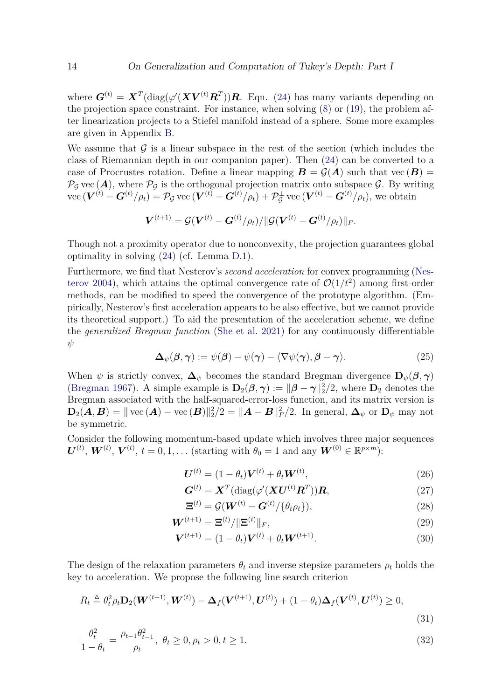where  $G^{(t)} = X^T(\text{diag}(\varphi'(\boldsymbol{X}\boldsymbol{V}^{(t)}\boldsymbol{R}^T))\boldsymbol{R}$ . Eqn. [\(24\)](#page-12-1) has many variants depending on the projection space constraint. For instance, when solving [\(8\)](#page-6-1) or [\(19\)](#page-10-0), the problem after linearization projects to a Stiefel manifold instead of a sphere. Some more examples are given in Appendix [B.](#page-24-1)

We assume that  $\mathcal G$  is a linear subspace in the rest of the section (which includes the class of Riemannian depth in our companion paper). Then [\(24\)](#page-12-1) can be converted to a case of Procrustes rotation. Define a linear mapping  $B = \mathcal{G}(A)$  such that vec  $(B)$  $\mathcal{P}_{\mathcal{G}}$  vec  $(\mathcal{A})$ , where  $\mathcal{P}_{\mathcal{G}}$  is the orthogonal projection matrix onto subspace  $\mathcal{G}$ . By writing  $\text{vec}(\boldsymbol{V}^{(t)} - \boldsymbol{G}^{(t)}/\rho_t) = \mathcal{P}_{\mathcal{G}} \text{vec}(\boldsymbol{V}^{(t)} - \boldsymbol{G}^{(t)}/\rho_t) + \mathcal{P}_{\mathcal{G}}^{\perp} \text{vec}(\boldsymbol{V}^{(t)} - \boldsymbol{G}^{(t)}/\rho_t), \text{ we obtain}$ 

$$
\bm{V}^{(t+1)} = \mathcal{G}(\bm{V}^{(t)} - \bm{G}^{(t)} / \rho_t) / \|\mathcal{G}(\bm{V}^{(t)} - \bm{G}^{(t)} / \rho_t)\|_F.
$$

Though not a proximity operator due to nonconvexity, the projection guarantees global optimality in solving [\(24\)](#page-12-1) (cf. Lemma [D.1\)](#page-26-0).

Furthermore, we find that Nesterov's *second acceleration* for convex programming [\(Nes](#page-22-15)[terov](#page-22-15) [2004\)](#page-22-15), which attains the optimal convergence rate of  $\mathcal{O}(1/t^2)$  among first-order methods, can be modified to speed the convergence of the prototype algorithm. (Empirically, Nesterov's first acceleration appears to be also effective, but we cannot provide its theoretical support.) To aid the presentation of the acceleration scheme, we define the *generalized Bregman function* [\(She et al.](#page-23-11) [2021\)](#page-23-11) for any continuously differentiable *ψ*

$$
\Delta_{\psi}(\boldsymbol{\beta}, \boldsymbol{\gamma}) := \psi(\boldsymbol{\beta}) - \psi(\boldsymbol{\gamma}) - \langle \nabla \psi(\boldsymbol{\gamma}), \boldsymbol{\beta} - \boldsymbol{\gamma} \rangle. \tag{25}
$$

When  $\psi$  is strictly convex,  $\Delta_{\psi}$  becomes the standard Bregman divergence  $\mathbf{D}_{\psi}(\beta, \gamma)$ [\(Bregman](#page-19-7) [1967\)](#page-19-7). A simple example is  $D_2(\beta, \gamma) := ||\beta - \gamma||_2^2/2$ , where  $D_2$  denotes the Bregman associated with the half-squared-error-loss function, and its matrix version is  $\mathbf{D}_2(\mathbf{A}, \mathbf{B}) = || \text{ vec } (\mathbf{A}) - \text{ vec } (\mathbf{B}) ||_2^2 / 2 = ||\mathbf{A} - \mathbf{B}||_F^2 / 2$ . In general,  $\boldsymbol{\Delta}_{\psi}$  or  $\mathbf{D}_{\psi}$  may not be symmetric.

Consider the following momentum-based update which involves three major sequences  $\bm{U}^{(t)}$ ,  $\bm{W}^{(t)}$ ,  $\bm{V}^{(t)}$ ,  $t = 0, 1, \ldots$  (starting with  $\theta_0 = 1$  and any  $\bm{W}^{(0)} \in \mathbb{R}^{p \times m}$ ):

<span id="page-13-1"></span>
$$
\bm{U}^{(t)} = (1 - \theta_t) \bm{V}^{(t)} + \theta_t \bm{W}^{(t)}, \qquad (26)
$$

$$
\boldsymbol{G}^{(t)} = \boldsymbol{X}^T (\text{diag}(\varphi'(\boldsymbol{X}\boldsymbol{U}^{(t)}\boldsymbol{R}^T))\boldsymbol{R},\tag{27}
$$

<span id="page-13-2"></span>
$$
\mathbf{\Xi}^{(t)} = \mathcal{G}(\mathbf{W}^{(t)} - \mathbf{G}^{(t)} / \{\theta_t \rho_t\}),
$$
\n(28)

$$
\mathbf{W}^{(t+1)} = \mathbf{\Xi}^{(t)} / \|\mathbf{\Xi}^{(t)}\|_{F},\tag{29}
$$

<span id="page-13-3"></span><span id="page-13-0"></span>
$$
\mathbf{V}^{(t+1)} = (1 - \theta_t)\mathbf{V}^{(t)} + \theta_t \mathbf{W}^{(t+1)}.
$$
\n(30)

The design of the relaxation parameters  $\theta_t$  and inverse stepsize parameters  $\rho_t$  holds the key to acceleration. We propose the following line search criterion

$$
R_t \triangleq \theta_t^2 \rho_t \mathbf{D}_2(\mathbf{W}^{(t+1)}, \mathbf{W}^{(t)}) - \Delta_f(\mathbf{V}^{(t+1)}, \mathbf{U}^{(t)}) + (1 - \theta_t) \Delta_f(\mathbf{V}^{(t)}, \mathbf{U}^{(t)}) \ge 0,
$$
\n(31)

$$
\frac{\theta_t^2}{1 - \theta_t} = \frac{\rho_{t-1}\theta_{t-1}^2}{\rho_t}, \ \theta_t \ge 0, \rho_t > 0, t \ge 1.
$$
\n(32)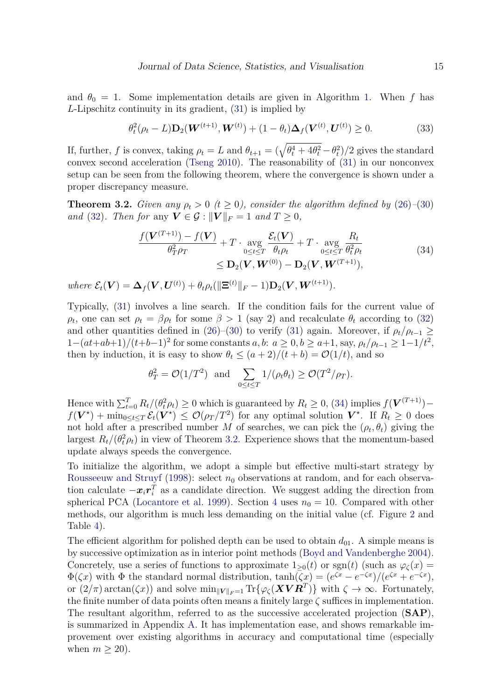and  $\theta_0 = 1$ . Some implementation details are given in Algorithm [1.](#page-24-2) When f has *L*-Lipschitz continuity in its gradient, [\(31\)](#page-13-0) is implied by

$$
\theta_t^2(\rho_t - L) \mathbf{D}_2(\mathbf{W}^{(t+1)}, \mathbf{W}^{(t)}) + (1 - \theta_t) \Delta_f(\mathbf{V}^{(t)}, \mathbf{U}^{(t)}) \ge 0.
$$
 (33)

If, further, *f* is convex, taking  $\rho_t = L$  and  $\theta_{t+1} = (\sqrt{\theta_t^4 + 4\theta_t^2} - \theta_t^2)/2$  gives the standard convex second acceleration [\(Tseng](#page-23-12) [2010\)](#page-23-12). The reasonability of [\(31\)](#page-13-0) in our nonconvex setup can be seen from the following theorem, where the convergence is shown under a proper discrepancy measure.

<span id="page-14-1"></span>**Theorem 3.2.** *Given any*  $\rho_t > 0$  ( $t \ge 0$ ), *consider the algorithm defined by* [\(26\)](#page-13-1)–[\(30\)](#page-13-2) *and* [\(32\)](#page-13-3)*. Then for* any  $V \in \mathcal{G} : ||V||_F = 1$  *and*  $T \geq 0$ *,* 

<span id="page-14-0"></span>
$$
\frac{f(\mathbf{V}^{(T+1)}) - f(\mathbf{V})}{\theta_T^2 \rho_T} + T \cdot \underset{0 \le t \le T}{\text{avg}} \frac{\mathcal{E}_t(\mathbf{V})}{\theta_t \rho_t} + T \cdot \underset{0 \le t \le T}{\text{avg}} \frac{R_t}{\theta_t^2 \rho_t}
$$
\n
$$
\le \mathbf{D}_2(\mathbf{V}, \mathbf{W}^{(0)}) - \mathbf{D}_2(\mathbf{V}, \mathbf{W}^{(T+1)}),
$$
\n(34)

 $where \ \mathcal{E}_t(\mathbf{V}) = \Delta_f(\mathbf{V}, \mathbf{U}^{(t)}) + \theta_t \rho_t(\|\mathbf{\Xi}^{(t)}\|_F - 1) \mathbf{D}_2(\mathbf{V}, \mathbf{W}^{(t+1)})$ .

Typically, [\(31\)](#page-13-0) involves a line search. If the condition fails for the current value of *ρ*<sub>*t*</sub>, one can set  $ρ$ <sub>*t*</sub> =  $βρ$ <sub>*t*</sub></sub> for some  $β > 1$  (say 2) and recalculate  $θ$ <sub>*t*</sub> according to [\(32\)](#page-13-3) and other quantities defined in [\(26\)](#page-13-1)–[\(30\)](#page-13-2) to verify [\(31\)](#page-13-0) again. Moreover, if  $\rho_t/\rho_{t-1} \ge$  $1-(at+ab+1)/(t+b-1)^2$  for some constants *a*, *b*: *a* ≥ 0, *b* ≥ *a*+1, say,  $\rho_t/\rho_{t-1}$  ≥ 1−1/*t*<sup>2</sup>, then by induction, it is easy to show  $\theta_t \leq (a+2)/(t+b) = \mathcal{O}(1/t)$ , and so

$$
\theta_T^2 = \mathcal{O}(1/T^2)
$$
 and  $\sum_{0 \le t \le T} 1/(\rho_t \theta_t) \ge \mathcal{O}(T^2/\rho_T).$ 

Hence with  $\sum_{t=0}^{T} R_t/(\theta_t^2 \rho_t) \ge 0$  which is guaranteed by  $R_t \ge 0$ , [\(34\)](#page-14-0) implies  $f(\mathbf{V}^{(T+1)})$  $f(V^*) + \min_{0 \le t \le T} \mathcal{E}_t(V^*) \le \mathcal{O}(\rho_T/T^2)$  for any optimal solution  $V^*$ . If  $R_t \ge 0$  does not hold after a prescribed number *M* of searches, we can pick the  $(\rho_t, \theta_t)$  giving the largest  $R_t/(\theta_t^2 \rho_t)$  in view of Theorem [3.2.](#page-14-1) Experience shows that the momentum-based update always speeds the convergence.

To initialize the algorithm, we adopt a simple but effective multi-start strategy by [Rousseeuw and Struyf](#page-22-9) [\(1998\)](#page-22-9): select  $n_0$  observations at random, and for each observation calculate  $-x_i r_i^T$  as a candidate direction. We suggest adding the direction from spherical PCA [\(Locantore et al.](#page-21-13) [1999\)](#page-21-13). Section [4](#page-15-0) uses  $n_0 = 10$ . Compared with other methods, our algorithm is much less demanding on the initial value (cf. Figure [2](#page-11-1) and Table [4\)](#page-18-0).

The efficient algorithm for polished depth can be used to obtain  $d_{01}$ . A simple means is by successive optimization as in interior point methods [\(Boyd and Vandenberghe](#page-19-5) [2004\)](#page-19-5). Concretely, use a series of functions to approximate  $1_{\geq 0}(t)$  or sgn $(t)$  (such as  $\varphi_{\zeta}(x) =$  $\Phi(\zeta x)$  with  $\Phi$  the standard normal distribution,  $\tanh(\zeta x) = (e^{\zeta x} - e^{-\zeta x})/(e^{\zeta x} + e^{-\zeta x})$ , or  $(2/\pi)\arctan(\zeta x)$  and solve  $\min_{\|\mathbf{V}\|_F=1} \text{Tr}\{\varphi_{\zeta}(\mathbf{X}\mathbf{V}\mathbf{R}^T)\}\$  with  $\zeta \to \infty$ . Fortunately, the finite number of data points often means a finitely large *ζ* suffices in implementation. The resultant algorithm, referred to as the successive accelerated projection (**SAP**), is summarized in Appendix [A.](#page-24-0) It has implementation ease, and shows remarkable improvement over existing algorithms in accuracy and computational time (especially when  $m \geq 20$ ).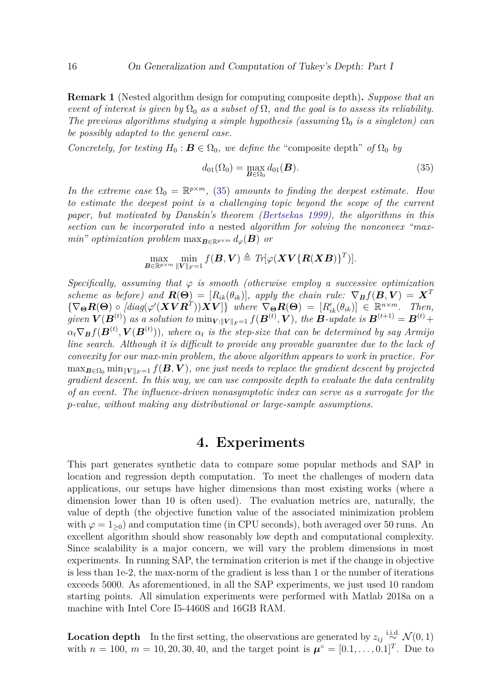<span id="page-15-2"></span>**Remark 1** (Nested algorithm design for computing composite depth)**.** *Suppose that an event of interest is given by*  $\Omega_0$  *as a subset of*  $\Omega$ *, and the goal is to assess its reliability. The previous algorithms studying a simple hypothesis (assuming*  $\Omega_0$  *is a singleton) can be possibly adapted to the general case.*

*Concretely, for testing*  $H_0: \mathbf{B} \in \Omega_0$ *, we define the* "composite depth" *of*  $\Omega_0$  *by* 

<span id="page-15-1"></span>
$$
d_{01}(\Omega_0) = \max_{\mathbf{B}\in\Omega_0} d_{01}(\mathbf{B}).
$$
\n(35)

*In the extreme case*  $\Omega_0 = \mathbb{R}^{p \times m}$ , [\(35\)](#page-15-1) *amounts to finding the deepest estimate. Hou to estimate the deepest point is a challenging topic beyond the scope of the current paper, but motivated by Danskin's theorem [\(Bertsekas](#page-19-8) [1999\)](#page-19-8), the algorithms in this section can be incorporated into a* nested *algorithm for solving the nonconvex "maxmin*" *optimization problem*  $\max_{\mathbf{B}\in\mathbb{R}^{p\times m}} d_{\varphi}(\mathbf{B})$  *or* 

$$
\max_{\boldsymbol{B}\in\mathbb{R}^{p\times m}}\min_{\|\boldsymbol{V}\|_F=1}f(\boldsymbol{B},\boldsymbol{V})\triangleq Tr[\varphi(\boldsymbol{X}\boldsymbol{V}\{\boldsymbol{R}(\boldsymbol{X}\boldsymbol{B})\}^T)].
$$

*Specifically, assuming that φ is smooth (otherwise employ a successive optimization scheme as before) and*  $\mathbf{R}(\Theta) = [R_{ik}(\theta_{ik})]$ *, apply the chain rule:*  $\nabla_{\mathbf{B}}f(\mathbf{B}, \mathbf{V}) = \mathbf{X}^T$  $\{\nabla_{\mathbf{\Theta}}\mathbf{R}(\mathbf{\Theta})\circ [diag(\varphi'(\boldsymbol{X}\boldsymbol{V}\boldsymbol{R}^T))\boldsymbol{X}\boldsymbol{V}]\}\$  where  $\nabla_{\mathbf{\Theta}}\mathbf{R}(\mathbf{\Theta}) = [R'_{ik}(\theta_{ik})] \in \mathbb{R}^{n \times m}$ . Then, given  $\bm{V}(\bm{B}^{(t)})$  as a solution to  $\min_{\bm{V}: \|\bm{V}\|_F=1} f(\bm{B}^{(t)}, \bm{V}),$  the  $\bm{B}$ -update is  $\bm{B}^{(t+1)} = \bm{B}^{(t)} + \bm{V}$  $\alpha_t \nabla_B f(\boldsymbol{B}^{(t)}, \boldsymbol{V}(\boldsymbol{B}^{(t)}))$ , where  $\alpha_t$  is the step-size that can be determined by say Armijo *line search. Although it is difficult to provide any provable guarantee due to the lack of convexity for our max-min problem, the above algorithm appears to work in practice. For*  $\max_{\mathbf{B}\in\Omega_0} \min_{\|\mathbf{V}\|_F=1} f(\mathbf{B}, \mathbf{V})$ , one just needs to replace the gradient descent by projected *gradient descent. In this way, we can use composite depth to evaluate the data centrality of an event. The influence-driven nonasymptotic index can serve as a surrogate for the p-value, without making any distributional or large-sample assumptions.*

#### **4. Experiments**

<span id="page-15-0"></span>This part generates synthetic data to compare some popular methods and SAP in location and regression depth computation. To meet the challenges of modern data applications, our setups have higher dimensions than most existing works (where a dimension lower than 10 is often used). The evaluation metrics are, naturally, the value of depth (the objective function value of the associated minimization problem with  $\varphi = 1_{\geq 0}$  and computation time (in CPU seconds), both averaged over 50 runs. An excellent algorithm should show reasonably low depth and computational complexity. Since scalability is a major concern, we will vary the problem dimensions in most experiments. In running SAP, the termination criterion is met if the change in objective is less than 1e-2, the max-norm of the gradient is less than 1 or the number of iterations exceeds 5000. As aforementioned, in all the SAP experiments, we just used 10 random starting points. All simulation experiments were performed with Matlab 2018a on a machine with Intel Core I5-4460S and 16GB RAM.

**Location depth** In the first setting, the observations are generated by  $z_{ij} \stackrel{\text{i.i.d.}}{\sim} \mathcal{N}(0, 1)$ with  $n = 100, m = 10, 20, 30, 40$ , and the target point is  $\mu^{\circ} = [0.1, \ldots, 0.1]^T$ . Due to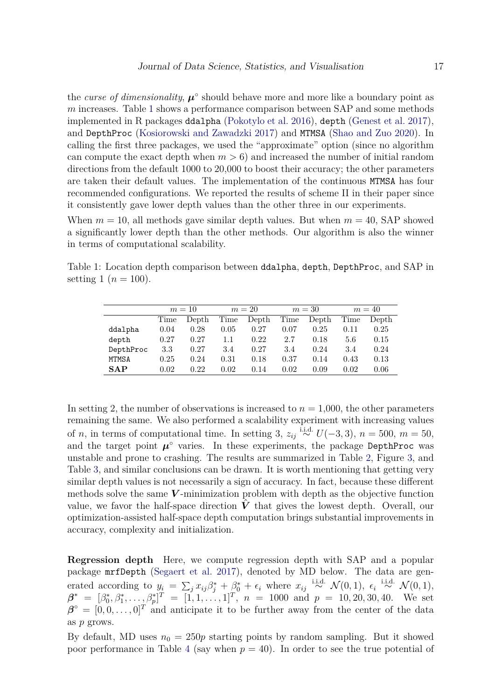the *curse of dimensionality*,  $\mu^{\circ}$  should behave more and more like a boundary point as *m* increases. Table [1](#page-16-0) shows a performance comparison between SAP and some methods implemented in R packages ddalpha [\(Pokotylo et al.](#page-22-16) [2016\)](#page-22-16), depth [\(Genest et al.](#page-20-15) [2017\)](#page-20-15), and DepthProc [\(Kosiorowski and Zawadzki](#page-21-14) [2017\)](#page-21-14) and MTMSA [\(Shao and Zuo](#page-23-8) [2020\)](#page-23-8). In calling the first three packages, we used the "approximate" option (since no algorithm can compute the exact depth when  $m > 6$ ) and increased the number of initial random directions from the default 1000 to 20,000 to boost their accuracy; the other parameters are taken their default values. The implementation of the continuous MTMSA has four recommended configurations. We reported the results of scheme II in their paper since it consistently gave lower depth values than the other three in our experiments.

When  $m = 10$ , all methods gave similar depth values. But when  $m = 40$ , SAP showed a significantly lower depth than the other methods. Our algorithm is also the winner in terms of computational scalability.

<span id="page-16-0"></span>Table 1: Location depth comparison between ddalpha, depth, DepthProc, and SAP in setting 1 ( $n = 100$ ).

|            | $m=10$ |       | $m=20$  |       | $m=30$ |       | $m=40$ |       |
|------------|--------|-------|---------|-------|--------|-------|--------|-------|
|            | Time   | Depth | Time    | Depth | Time   | Depth | Time   | Depth |
| ddalpha    | 0.04   | 0.28  | 0.05    | 0.27  | 0.07   | 0.25  | 0.11   | 0.25  |
| depth      | 0.27   | 0.27  | $1.1\,$ | 0.22  | 2.7    | 0.18  | 5.6    | 0.15  |
| DepthProc  | 3.3    | 0.27  | 3.4     | 0.27  | 3.4    | 0.24  | 3.4    | 0.24  |
| MTMSA      | 0.25   | 0.24  | 0.31    | 0.18  | 0.37   | 0.14  | 0.43   | 0.13  |
| <b>SAP</b> | 0.02   | 0.22  | 0.02    | 0.14  | 0.02   | 0.09  | 0.02   | 0.06  |

In setting 2, the number of observations is increased to  $n = 1,000$ , the other parameters remaining the same. We also performed a scalability experiment with increasing values of *n*, in terms of computational time. In setting 3,  $z_{ij} \stackrel{\text{i.i.d.}}{\sim} U(-3,3)$ ,  $n = 500$ ,  $m = 50$ , and the target point  $\mu^{\circ}$  varies. In these experiments, the package DepthProc was unstable and prone to crashing. The results are summarized in Table [2,](#page-17-0) Figure [3,](#page-17-1) and Table [3,](#page-17-2) and similar conclusions can be drawn. It is worth mentioning that getting very similar depth values is not necessarily a sign of accuracy. In fact, because these different methods solve the same *V* -minimization problem with depth as the objective function value, we favor the half-space direction  $\dot{V}$  that gives the lowest depth. Overall, our optimization-assisted half-space depth computation brings substantial improvements in accuracy, complexity and initialization.

**Regression depth** Here, we compute regression depth with SAP and a popular package mrfDepth [\(Segaert et al.](#page-23-13) [2017\)](#page-23-13), denoted by MD below. The data are generated according to  $y_i = \sum_j x_{ij}\beta_j^* + \beta_0^* + \epsilon_i$  where  $x_{ij} \stackrel{\text{i.i.d.}}{\sim} \mathcal{N}(0,1)$ ,  $\epsilon_i \stackrel{\text{i.i.d.}}{\sim} \mathcal{N}(0,1)$ ,  $\boldsymbol{\beta}^* = [\beta_0^*, \beta_1^*, \dots, \beta_p^*]^T = [1, 1, \dots, 1]^T$ ,  $n = 1000$  and  $p = 10, 20, 30, 40$ . We set  $\beta^{\circ} = [0, 0, \ldots, 0]^T$  and anticipate it to be further away from the center of the data as *p* grows.

By default, MD uses  $n_0 = 250p$  starting points by random sampling. But it showed poor performance in Table [4](#page-18-0) (say when  $p = 40$ ). In order to see the true potential of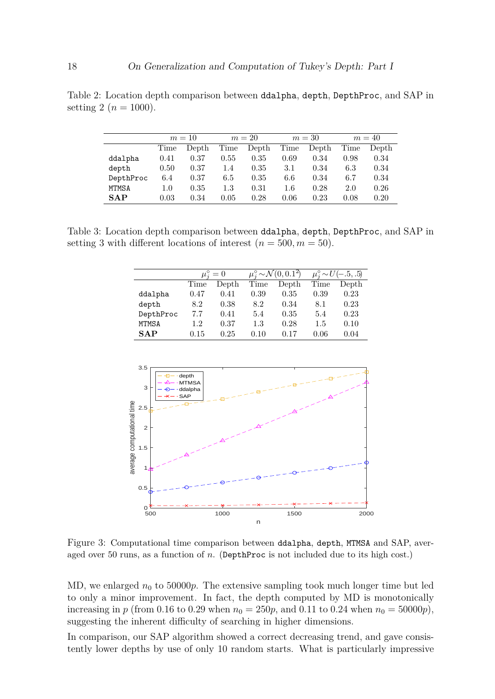<span id="page-17-0"></span>Table 2: Location depth comparison between ddalpha, depth, DepthProc, and SAP in setting 2 ( $n = 1000$ ).

|            | $m=10$ |       | $m=20$ |       | $m=30$  |       | $m=40$ |       |
|------------|--------|-------|--------|-------|---------|-------|--------|-------|
|            | Time   | Depth | Time   | Depth | Time    | Depth | Time   | Depth |
| ddalpha    | 0.41   | 0.37  | 0.55   | 0.35  | 0.69    | 0.34  | 0.98   | 0.34  |
| depth      | 0.50   | 0.37  | 1.4    | 0.35  | 3.1     | 0.34  | 6.3    | 0.34  |
| DepthProc  | 6.4    | 0.37  | 6.5    | 0.35  | 6.6     | 0.34  | 6.7    | 0.34  |
| MTMSA      | 1.0    | 0.35  | 1.3    | 0.31  | $1.6\,$ | 0.28  | 2.0    | 0.26  |
| <b>SAP</b> | 0.03   | 0.34  | 0.05   | 0.28  | 0.06    | 0.23  | 0.08   | 0.20  |

<span id="page-17-2"></span>Table 3: Location depth comparison between ddalpha, depth, DepthProc, and SAP in setting 3 with different locations of interest  $(n = 500, m = 50)$ .

|              |      | $\mu_i^{\circ} = 0$ |      | $\mu_i^{\circ} \sim \mathcal{N}(0, 0.\overline{1^2})$ | $\mu_i^{\circ} \sim U(-.5,.5)$ |       |  |
|--------------|------|---------------------|------|-------------------------------------------------------|--------------------------------|-------|--|
|              | Time | Depth               | Time | Depth                                                 | Time                           | Depth |  |
| ddalpha      | 0.47 | 0.41                | 0.39 | 0.35                                                  | 0.39                           | 0.23  |  |
| depth        | 8.2  | 0.38                | 8.2  | 0.34                                                  | 8.1                            | 0.23  |  |
| DepthProc    | 7.7  | 0.41                | 5.4  | 0.35                                                  | 5.4                            | 0.23  |  |
| <b>MTMSA</b> | 1.2  | 0.37                | 1.3  | 0.28                                                  | $1.5\,$                        | 0.10  |  |
| <b>SAP</b>   | 0.15 | 0.25                | 0.10 | 0.17                                                  | 0.06                           | 0.04  |  |

<span id="page-17-1"></span>

Figure 3: Computational time comparison between ddalpha, depth, MTMSA and SAP, averaged over 50 runs, as a function of *n*. (DepthProc is not included due to its high cost.)

MD, we enlarged  $n_0$  to 50000*p*. The extensive sampling took much longer time but led to only a minor improvement. In fact, the depth computed by MD is monotonically increasing in *p* (from 0.16 to 0.29 when  $n_0 = 250p$ , and 0.11 to 0.24 when  $n_0 = 50000p$ ), suggesting the inherent difficulty of searching in higher dimensions.

In comparison, our SAP algorithm showed a correct decreasing trend, and gave consistently lower depths by use of only 10 random starts. What is particularly impressive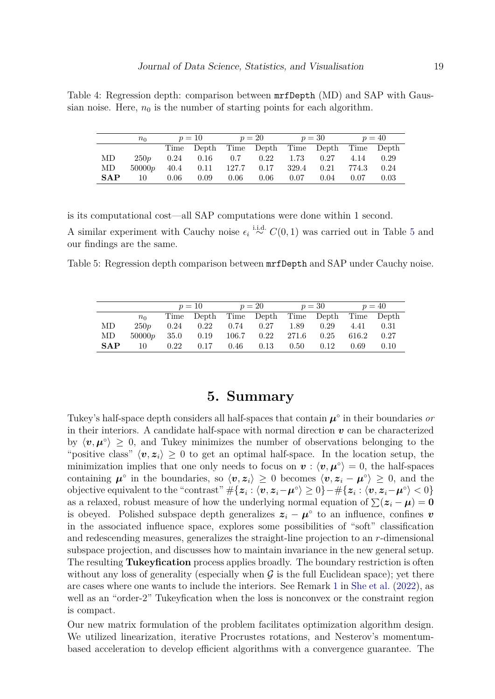<span id="page-18-0"></span>Table 4: Regression depth: comparison between mrfDepth (MD) and SAP with Gaussian noise. Here,  $n_0$  is the number of starting points for each algorithm.

|            | $n_0$  | $p=10$ |            | $p=20$ |                       | $p=30$ |      | $p = 40$   |      |
|------------|--------|--------|------------|--------|-----------------------|--------|------|------------|------|
|            |        |        | Time Depth |        | Time Depth Time Depth |        |      | Time Depth |      |
| MD         | 250p   | 0.24   | 0.16       | 0.7    | 0.22                  | 1.73   | 0.27 | 4.14       | 0.29 |
| MD         | 50000p | 40.4   | 0.11       | 127.7  | 0.17                  | 329.4  | 0.21 | 774.3      | 0.24 |
| <b>SAP</b> | 10     | 0.06   | 0.09       | 0.06   | 0.06                  | 0.07   | 0.04 | 0.07       | 0.03 |

is its computational cost—all SAP computations were done within 1 second.

A similar experiment with Cauchy noise  $\epsilon_i \stackrel{\text{i.i.d.}}{\sim} C(0,1)$  was carried out in Table [5](#page-18-1) and our findings are the same.

<span id="page-18-1"></span>Table 5: Regression depth comparison between mrfDepth and SAP under Cauchy noise.

|            |        | $p=10$   |                                  | $p=20$ |      | $p=30$ |      | $p = 40$   |      |
|------------|--------|----------|----------------------------------|--------|------|--------|------|------------|------|
|            | $n_0$  |          | Time Depth Time Depth Time Depth |        |      |        |      | Time Depth |      |
| МD         | 250p   | 0.24     | 0.22                             | 0.74   | 0.27 | 1.89   | 0.29 | 4.41       | 0.31 |
| MD         | 50000p | 35.0     | 0.19                             | 106.7  | 0.22 | 271.6  | 0.25 | 616.2      | 0.27 |
| <b>SAP</b> | 10     | $0.22\,$ | 0.17                             | 0.46   | 0.13 | 0.50   | 0.12 | 0.69       | 0.10 |

# **5. Summary**

Tukey's half-space depth considers all half-spaces that contain  $\mu^{\circ}$  in their boundaries *or* in their interiors. A candidate half-space with normal direction  $\boldsymbol{v}$  can be characterized by  $\langle v, \mu^{\circ} \rangle \geq 0$ , and Tukey minimizes the number of observations belonging to the "positive class"  $\langle v, z_i \rangle \geq 0$  to get an optimal half-space. In the location setup, the minimization implies that one only needs to focus on  $v : \langle v, \mu^{\circ} \rangle = 0$ , the half-spaces containing  $\mu^{\circ}$  in the boundaries, so  $\langle v, z_i \rangle \geq 0$  becomes  $\langle v, z_i - \mu^{\circ} \rangle \geq 0$ , and the  $\text{objective equivalent to the "contrast" } \#\{\boldsymbol{z}_i: \langle \boldsymbol{v}, \boldsymbol{z}_i - \boldsymbol{\mu}^\circ\rangle \geq 0\} - \#\{\boldsymbol{z}_i: \langle \boldsymbol{v}, \boldsymbol{z}_i - \boldsymbol{\mu}^\circ\rangle < 0\}$ as a relaxed, robust measure of how the underlying normal equation of  $\sum(z_i - \mu) = 0$ is obeyed. Polished subspace depth generalizes  $z_i - \mu^\circ$  to an influence, confines *v* in the associated influence space, explores some possibilities of "soft" classification and redescending measures, generalizes the straight-line projection to an *r*-dimensional subspace projection, and discusses how to maintain invariance in the new general setup. The resulting **Tukeyfication** process applies broadly. The boundary restriction is often without any loss of generality (especially when  $G$  is the full Euclidean space); yet there are cases where one wants to include the interiors. See Remark [1](#page-15-2) in [She et al.](#page-23-9) [\(2022\)](#page-23-9), as well as an "order-2" Tukeyfication when the loss is nonconvex or the constraint region is compact.

Our new matrix formulation of the problem facilitates optimization algorithm design. We utilized linearization, iterative Procrustes rotations, and Nesterov's momentumbased acceleration to develop efficient algorithms with a convergence guarantee. The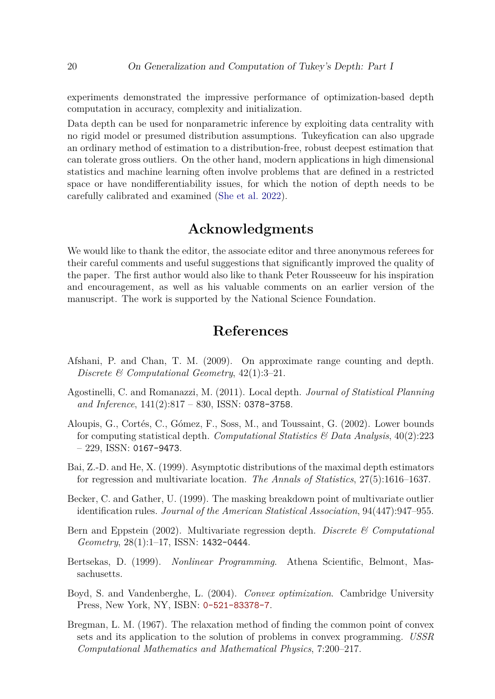experiments demonstrated the impressive performance of optimization-based depth computation in accuracy, complexity and initialization.

Data depth can be used for nonparametric inference by exploiting data centrality with no rigid model or presumed distribution assumptions. Tukeyfication can also upgrade an ordinary method of estimation to a distribution-free, robust deepest estimation that can tolerate gross outliers. On the other hand, modern applications in high dimensional statistics and machine learning often involve problems that are defined in a restricted space or have nondifferentiability issues, for which the notion of depth needs to be carefully calibrated and examined [\(She et al.](#page-23-9) [2022\)](#page-23-9).

### **Acknowledgments**

We would like to thank the editor, the associate editor and three anonymous referees for their careful comments and useful suggestions that significantly improved the quality of the paper. The first author would also like to thank Peter Rousseeuw for his inspiration and encouragement, as well as his valuable comments on an earlier version of the manuscript. The work is supported by the National Science Foundation.

# **References**

- <span id="page-19-3"></span>Afshani, P. and Chan, T. M. (2009). On approximate range counting and depth. *Discrete & Computational Geometry*, 42(1):3–21.
- <span id="page-19-4"></span>Agostinelli, C. and Romanazzi, M. (2011). Local depth. *Journal of Statistical Planning and Inference*, 141(2):817 – 830, ISSN: 0378-3758.
- <span id="page-19-2"></span>Aloupis, G., Cortés, C., Gómez, F., Soss, M., and Toussaint, G. (2002). Lower bounds for computing statistical depth. *Computational Statistics & Data Analysis*, 40(2):223  $-229$ , ISSN: 0167-9473.
- <span id="page-19-1"></span>Bai, Z.-D. and He, X. (1999). Asymptotic distributions of the maximal depth estimators for regression and multivariate location. *The Annals of Statistics*, 27(5):1616–1637.
- <span id="page-19-0"></span>Becker, C. and Gather, U. (1999). The masking breakdown point of multivariate outlier identification rules. *Journal of the American Statistical Association*, 94(447):947–955.
- <span id="page-19-6"></span>Bern and Eppstein (2002). Multivariate regression depth. *Discrete & Computational Geometry*, 28(1):1–17, ISSN: 1432-0444.
- <span id="page-19-8"></span>Bertsekas, D. (1999). *Nonlinear Programming*. Athena Scientific, Belmont, Massachusetts.
- <span id="page-19-5"></span>Boyd, S. and Vandenberghe, L. (2004). *Convex optimization*. Cambridge University Press, New York, NY, ISBN: [0-521-83378-7](https://openlibrary.org/search?isbn=0-521-83378-7).
- <span id="page-19-7"></span>Bregman, L. M. (1967). The relaxation method of finding the common point of convex sets and its application to the solution of problems in convex programming. *USSR Computational Mathematics and Mathematical Physics*, 7:200–217.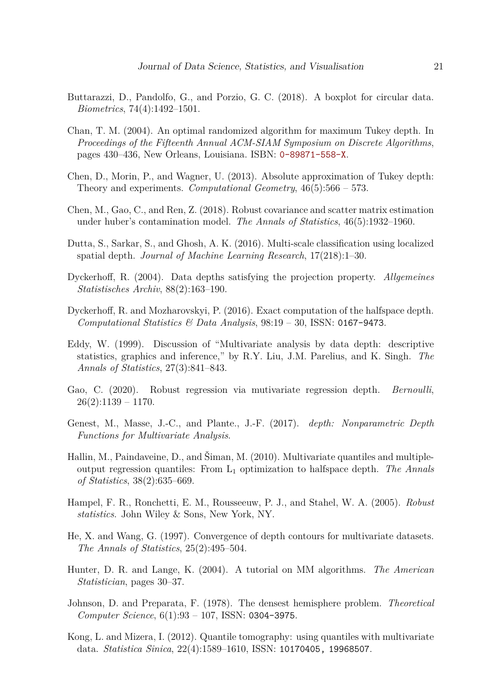- <span id="page-20-0"></span>Buttarazzi, D., Pandolfo, G., and Porzio, G. C. (2018). A boxplot for circular data. *Biometrics*, 74(4):1492–1501.
- <span id="page-20-9"></span>Chan, T. M. (2004). An optimal randomized algorithm for maximum Tukey depth. In *Proceedings of the Fifteenth Annual ACM-SIAM Symposium on Discrete Algorithms*, pages 430–436, New Orleans, Louisiana. ISBN: [0-89871-558-X](https://openlibrary.org/search?isbn=0-89871-558-X).
- <span id="page-20-11"></span>Chen, D., Morin, P., and Wagner, U. (2013). Absolute approximation of Tukey depth: Theory and experiments. *Computational Geometry*, 46(5):566 – 573.
- <span id="page-20-3"></span>Chen, M., Gao, C., and Ren, Z. (2018). Robust covariance and scatter matrix estimation under huber's contamination model. *The Annals of Statistics*, 46(5):1932–1960.
- <span id="page-20-1"></span>Dutta, S., Sarkar, S., and Ghosh, A. K. (2016). Multi-scale classification using localized spatial depth. *Journal of Machine Learning Research*, 17(218):1–30.
- <span id="page-20-10"></span>Dyckerhoff, R. (2004). Data depths satisfying the projection property. *Allgemeines Statistisches Archiv*, 88(2):163–190.
- <span id="page-20-6"></span>Dyckerhoff, R. and Mozharovskyi, P. (2016). Exact computation of the halfspace depth. *Computational Statistics & Data Analysis*, 98:19 – 30, ISSN: 0167-9473.
- <span id="page-20-13"></span>Eddy, W. (1999). Discussion of "Multivariate analysis by data depth: descriptive statistics, graphics and inference," by R.Y. Liu, J.M. Parelius, and K. Singh. *The Annals of Statistics*, 27(3):841–843.
- <span id="page-20-4"></span>Gao, C. (2020). Robust regression via mutivariate regression depth. *Bernoulli*,  $26(2):1139 - 1170.$
- <span id="page-20-15"></span>Genest, M., Masse, J.-C., and Plante., J.-F. (2017). *depth: Nonparametric Depth Functions for Multivariate Analysis*.
- <span id="page-20-7"></span>Hallin, M., Paindaveine, D., and Šiman, M. (2010). Multivariate quantiles and multipleoutput regression quantiles: From L<sup>1</sup> optimization to halfspace depth. *The Annals of Statistics*, 38(2):635–669.
- <span id="page-20-12"></span>Hampel, F. R., Ronchetti, E. M., Rousseeuw, P. J., and Stahel, W. A. (2005). *Robust statistics*. John Wiley & Sons, New York, NY.
- <span id="page-20-2"></span>He, X. and Wang, G. (1997). Convergence of depth contours for multivariate datasets. *The Annals of Statistics*, 25(2):495–504.
- <span id="page-20-14"></span>Hunter, D. R. and Lange, K. (2004). A tutorial on MM algorithms. *The American Statistician*, pages 30–37.
- <span id="page-20-5"></span>Johnson, D. and Preparata, F. (1978). The densest hemisphere problem. *Theoretical Computer Science*, 6(1):93 – 107, ISSN: 0304-3975.
- <span id="page-20-8"></span>Kong, L. and Mizera, I. (2012). Quantile tomography: using quantiles with multivariate data. *Statistica Sinica*, 22(4):1589–1610, ISSN: 10170405, 19968507.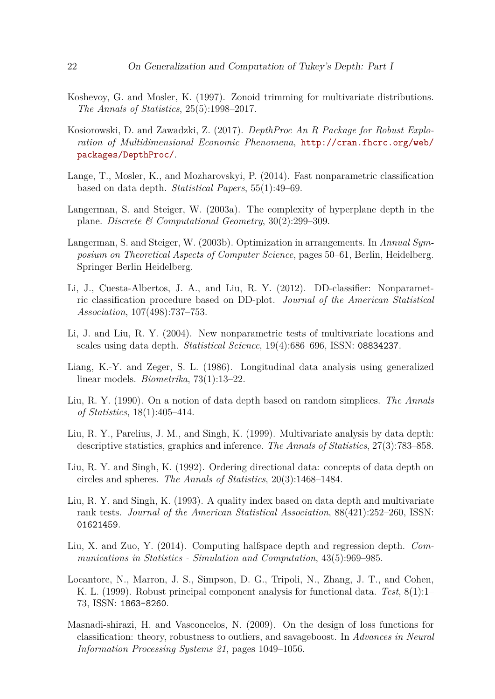- <span id="page-21-2"></span>Koshevoy, G. and Mosler, K. (1997). Zonoid trimming for multivariate distributions. *The Annals of Statistics*, 25(5):1998–2017.
- <span id="page-21-14"></span>Kosiorowski, D. and Zawadzki, Z. (2017). *DepthProc An R Package for Robust Exploration of Multidimensional Economic Phenomena*, [http://cran.fhcrc.org/web/](http://cran.fhcrc.org/web/packages/DepthProc/) [packages/DepthProc/](http://cran.fhcrc.org/web/packages/DepthProc/).
- <span id="page-21-7"></span>Lange, T., Mosler, K., and Mozharovskyi, P. (2014). Fast nonparametric classification based on data depth. *Statistical Papers*, 55(1):49–69.
- <span id="page-21-10"></span>Langerman, S. and Steiger, W. (2003a). The complexity of hyperplane depth in the plane. *Discrete & Computational Geometry*, 30(2):299–309.
- <span id="page-21-9"></span>Langerman, S. and Steiger, W. (2003b). Optimization in arrangements. In *Annual Symposium on Theoretical Aspects of Computer Science*, pages 50–61, Berlin, Heidelberg. Springer Berlin Heidelberg.
- <span id="page-21-6"></span>Li, J., Cuesta-Albertos, J. A., and Liu, R. Y. (2012). DD-classifier: Nonparametric classification procedure based on DD-plot. *Journal of the American Statistical Association*, 107(498):737–753.
- <span id="page-21-5"></span>Li, J. and Liu, R. Y. (2004). New nonparametric tests of multivariate locations and scales using data depth. *Statistical Science*, 19(4):686–696, ISSN: 08834237.
- <span id="page-21-12"></span>Liang, K.-Y. and Zeger, S. L. (1986). Longitudinal data analysis using generalized linear models. *Biometrika*, 73(1):13–22.
- <span id="page-21-0"></span>Liu, R. Y. (1990). On a notion of data depth based on random simplices. *The Annals of Statistics*, 18(1):405–414.
- <span id="page-21-4"></span>Liu, R. Y., Parelius, J. M., and Singh, K. (1999). Multivariate analysis by data depth: descriptive statistics, graphics and inference. *The Annals of Statistics*, 27(3):783–858.
- <span id="page-21-1"></span>Liu, R. Y. and Singh, K. (1992). Ordering directional data: concepts of data depth on circles and spheres. *The Annals of Statistics*, 20(3):1468–1484.
- <span id="page-21-3"></span>Liu, R. Y. and Singh, K. (1993). A quality index based on data depth and multivariate rank tests. *Journal of the American Statistical Association*, 88(421):252–260, ISSN: 01621459.
- <span id="page-21-8"></span>Liu, X. and Zuo, Y. (2014). Computing halfspace depth and regression depth. *Communications in Statistics - Simulation and Computation*, 43(5):969–985.
- <span id="page-21-13"></span>Locantore, N., Marron, J. S., Simpson, D. G., Tripoli, N., Zhang, J. T., and Cohen, K. L. (1999). Robust principal component analysis for functional data. *Test*, 8(1):1– 73, ISSN: 1863-8260.
- <span id="page-21-11"></span>Masnadi-shirazi, H. and Vasconcelos, N. (2009). On the design of loss functions for classification: theory, robustness to outliers, and savageboost. In *Advances in Neural Information Processing Systems 21*, pages 1049–1056.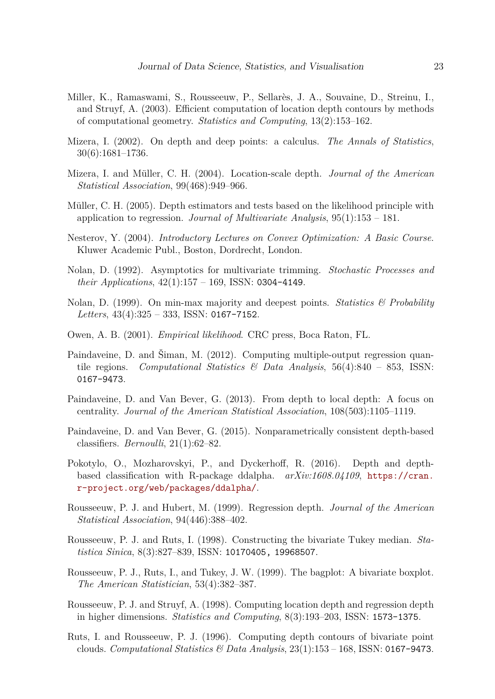- <span id="page-22-10"></span>Miller, K., Ramaswami, S., Rousseeuw, P., Sellarès, J. A., Souvaine, D., Streinu, I., and Struyf, A. (2003). Efficient computation of location depth contours by methods of computational geometry. *Statistics and Computing*, 13(2):153–162.
- <span id="page-22-1"></span>Mizera, I. (2002). On depth and deep points: a calculus. *The Annals of Statistics*, 30(6):1681–1736.
- <span id="page-22-2"></span>Mizera, I. and Müller, C. H. (2004). Location-scale depth. *Journal of the American Statistical Association*, 99(468):949–966.
- <span id="page-22-3"></span>Müller, C. H. (2005). Depth estimators and tests based on the likelihood principle with application to regression. *Journal of Multivariate Analysis*, 95(1):153 – 181.
- <span id="page-22-15"></span>Nesterov, Y. (2004). *Introductory Lectures on Convex Optimization: A Basic Course*. Kluwer Academic Publ., Boston, Dordrecht, London.
- <span id="page-22-6"></span>Nolan, D. (1992). Asymptotics for multivariate trimming. *Stochastic Processes and their Applications*, 42(1):157 – 169, ISSN: 0304-4149.
- <span id="page-22-7"></span>Nolan, D. (1999). On min-max majority and deepest points. *Statistics & Probability Letters*, 43(4):325 – 333, ISSN: 0167-7152.
- <span id="page-22-14"></span>Owen, A. B. (2001). *Empirical likelihood*. CRC press, Boca Raton, FL.
- <span id="page-22-11"></span>Paindaveine, D. and Šiman, M. (2012). Computing multiple-output regression quantile regions. *Computational Statistics & Data Analysis*, 56(4):840 – 853, ISSN: 0167-9473.
- <span id="page-22-13"></span>Paindaveine, D. and Van Bever, G. (2013). From depth to local depth: A focus on centrality. *Journal of the American Statistical Association*, 108(503):1105–1119.
- <span id="page-22-5"></span>Paindaveine, D. and Van Bever, G. (2015). Nonparametrically consistent depth-based classifiers. *Bernoulli*, 21(1):62–82.
- <span id="page-22-16"></span>Pokotylo, O., Mozharovskyi, P., and Dyckerhoff, R. (2016). Depth and depthbased classification with R-package ddalpha. *arXiv:1608.04109*, [https://cran.](https://cran.r-project.org/web/packages/ddalpha/) [r-project.org/web/packages/ddalpha/](https://cran.r-project.org/web/packages/ddalpha/).
- <span id="page-22-0"></span>Rousseeuw, P. J. and Hubert, M. (1999). Regression depth. *Journal of the American Statistical Association*, 94(446):388–402.
- <span id="page-22-12"></span>Rousseeuw, P. J. and Ruts, I. (1998). Constructing the bivariate Tukey median. *Statistica Sinica*, 8(3):827–839, ISSN: 10170405, 19968507.
- <span id="page-22-4"></span>Rousseeuw, P. J., Ruts, I., and Tukey, J. W. (1999). The bagplot: A bivariate boxplot. *The American Statistician*, 53(4):382–387.
- <span id="page-22-9"></span>Rousseeuw, P. J. and Struyf, A. (1998). Computing location depth and regression depth in higher dimensions. *Statistics and Computing*, 8(3):193–203, ISSN: 1573-1375.
- <span id="page-22-8"></span>Ruts, I. and Rousseeuw, P. J. (1996). Computing depth contours of bivariate point clouds. *Computational Statistics & Data Analysis*, 23(1):153 – 168, ISSN: 0167-9473.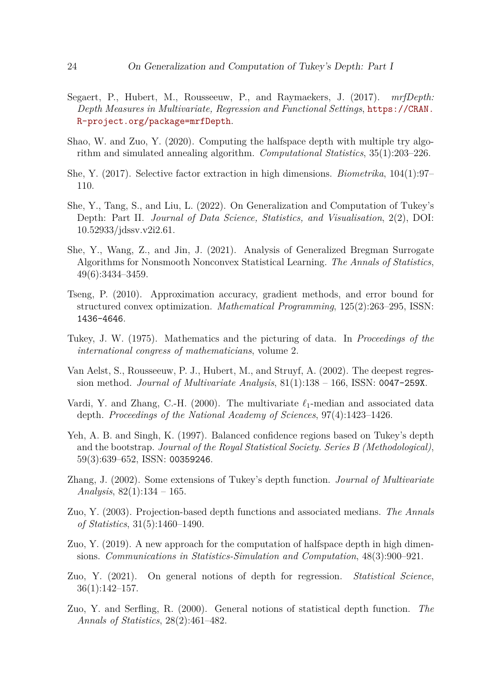- <span id="page-23-13"></span>Segaert, P., Hubert, M., Rousseeuw, P., and Raymaekers, J. (2017). *mrfDepth: Depth Measures in Multivariate, Regression and Functional Settings*, [https://CRAN.](https://CRAN.R-project.org/package=mrfDepth) [R-project.org/package=mrfDepth](https://CRAN.R-project.org/package=mrfDepth).
- <span id="page-23-8"></span>Shao, W. and Zuo, Y. (2020). Computing the halfspace depth with multiple try algorithm and simulated annealing algorithm. *Computational Statistics*, 35(1):203–226.
- <span id="page-23-14"></span>She, Y. (2017). Selective factor extraction in high dimensions. *Biometrika*, 104(1):97– 110.
- <span id="page-23-9"></span>She, Y., Tang, S., and Liu, L. (2022). On Generalization and Computation of Tukey's Depth: Part II. *Journal of Data Science, Statistics, and Visualisation*, 2(2), DOI: 10.52933/jdssv.v2i2.61.
- <span id="page-23-11"></span>She, Y., Wang, Z., and Jin, J. (2021). Analysis of Generalized Bregman Surrogate Algorithms for Nonsmooth Nonconvex Statistical Learning. *The Annals of Statistics*, 49(6):3434–3459.
- <span id="page-23-12"></span>Tseng, P. (2010). Approximation accuracy, gradient methods, and error bound for structured convex optimization. *Mathematical Programming*, 125(2):263–295, ISSN: 1436-4646.
- <span id="page-23-0"></span>Tukey, J. W. (1975). Mathematics and the picturing of data. In *Proceedings of the international congress of mathematicians*, volume 2.
- <span id="page-23-10"></span>Van Aelst, S., Rousseeuw, P. J., Hubert, M., and Struyf, A. (2002). The deepest regression method. *Journal of Multivariate Analysis*, 81(1):138 – 166, ISSN: 0047-259X.
- <span id="page-23-3"></span>Vardi, Y. and Zhang, C.-H. (2000). The multivariate *ℓ*1-median and associated data depth. *Proceedings of the National Academy of Sciences*, 97(4):1423–1426.
- <span id="page-23-5"></span>Yeh, A. B. and Singh, K. (1997). Balanced confidence regions based on Tukey's depth and the bootstrap. *Journal of the Royal Statistical Society. Series B (Methodological)*, 59(3):639–652, ISSN: 00359246.
- <span id="page-23-1"></span>Zhang, J. (2002). Some extensions of Tukey's depth function. *Journal of Multivariate Analysis*, 82(1):134 – 165.
- <span id="page-23-4"></span>Zuo, Y. (2003). Projection-based depth functions and associated medians. *The Annals of Statistics*, 31(5):1460–1490.
- <span id="page-23-7"></span>Zuo, Y. (2019). A new approach for the computation of halfspace depth in high dimensions. *Communications in Statistics-Simulation and Computation*, 48(3):900–921.
- <span id="page-23-2"></span>Zuo, Y. (2021). On general notions of depth for regression. *Statistical Science*, 36(1):142–157.
- <span id="page-23-6"></span>Zuo, Y. and Serfling, R. (2000). General notions of statistical depth function. *The Annals of Statistics*, 28(2):461–482.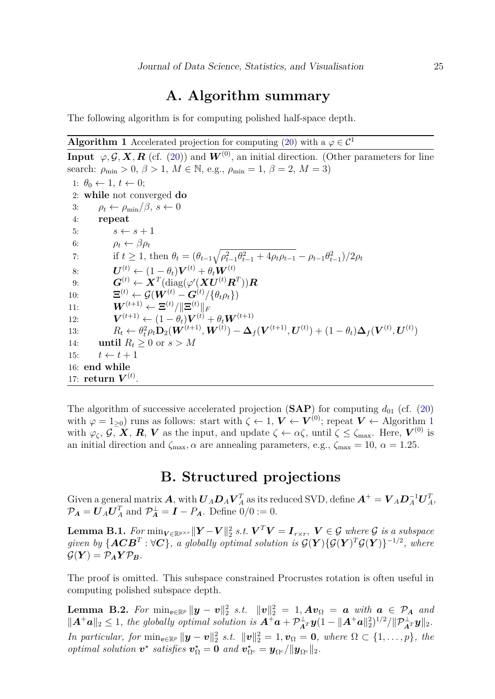### **A. Algorithm summary**

<span id="page-24-0"></span>The following algorithm is for computing polished half-space depth.

#### <span id="page-24-2"></span>**Algorithm 1** Accelerated projection for computing [\(20\)](#page-11-2) with a  $\varphi \in C^1$

**Input**  $\varphi, \mathcal{G}, \mathbf{X}, \mathbf{R}$  (cf. [\(20\)](#page-11-2)) and  $\mathbf{W}^{(0)}$ , an initial direction. (Other parameters for line search:  $\rho_{\min} > 0$ ,  $\beta > 1$ ,  $M \in \mathbb{N}$ , e.g.,  $\rho_{\min} = 1$ ,  $\beta = 2$ ,  $M = 3$ ) 1:  $\theta_0 \leftarrow 1, t \leftarrow 0;$ 2: **while** not converged **do** 3:  $\rho_t \leftarrow \rho_{\min}/\beta, s \leftarrow 0$ 4: **repeat** 5:  $s \leftarrow s + 1$ 6:  $\rho_t \leftarrow \beta \rho_t$ 7: if  $t \geq 1$ , then  $\theta_t = (\theta_{t-1}\sqrt{\rho_{t-1}^2 \theta_{t-1}^2 + 4\rho_t \rho_{t-1}} - \rho_{t-1} \theta_{t-1}^2)/2\rho_t$ 8:  $\boldsymbol{U}^{(t)} \leftarrow (1 - \theta_t) \boldsymbol{V}^{(t)} + \theta_t \boldsymbol{W}^{(t)}$ 9:  $\boldsymbol{G}^{(t)} \leftarrow \boldsymbol{X}^T(\text{diag}(\varphi'(\boldsymbol{X}\boldsymbol{U}^{(t)}\boldsymbol{R}^T))\boldsymbol{R}$ 10:  $\mathbf{E}^{(t)} \leftarrow \mathcal{G}(\boldsymbol{W}^{(t)} - \boldsymbol{G}^{(t)} / \{\theta_t \rho_t\})$  $\boldsymbol{W}^{(t+1)} \leftarrow \boldsymbol{\Xi}^{(t)} / \| \boldsymbol{\Xi}^{(t)} \|_F$  $12:$  $\boldsymbol{v}^{(t+1)} \leftarrow (1-\theta_t) \boldsymbol{V}^{(t)} + \theta_t \boldsymbol{W}^{(t+1)}$ 13:  $R_t \leftarrow \theta_t^2 \rho_t \mathbf{D}_2(\bm{W}^{(t+1)}, \bm{W}^{(t)}) - \bm{\Delta}_f(\bm{V}^{(t+1)}, \bm{U}^{(t)}) + (1-\theta_t)\bm{\Delta}_f(\bm{V}^{(t)}, \bm{U}^{(t)})$ 14: **until**  $R_t > 0$  or  $s > M$ 15:  $t \leftarrow t + 1$ 16: **end while** 17:  $\mathbf{return} \; \boldsymbol{V}^{(t)}.$ 

The algorithm of successive accelerated projection  $(SAP)$  for computing  $d_{01}$  (cf. [\(20\)](#page-11-2) with  $\varphi = 1_{\geq 0}$  $\varphi = 1_{\geq 0}$  $\varphi = 1_{\geq 0}$ ) runs as follows: start with  $\zeta \leftarrow 1$ ,  $V \leftarrow V^{(0)}$ ; repeat  $V \leftarrow$  Algorithm 1 with  $\varphi_{\zeta}, \mathcal{G}, \mathbf{X}, \mathbf{R}, \mathbf{V}$  as the input, and update  $\zeta \leftarrow \alpha \zeta$ , until  $\zeta \leq \zeta_{\text{max}}$ . Here,  $\mathbf{V}^{(0)}$  is an initial direction and  $\zeta_{\text{max}}$ ,  $\alpha$  are annealing parameters, e.g.,  $\zeta_{\text{max}} = 10$ ,  $\alpha = 1.25$ .

# **B. Structured projections**

<span id="page-24-1"></span>Given a general matrix  $\bm{A}$ , with  $\bm{U}_A\bm{D}_A\bm{V}_A^T$  as its reduced SVD, define  $\bm{A}^+=\bm{V}_A\bm{D}_A^{-1}\bm{U}_A^T$ ,  $\mathcal{P}_A = \boldsymbol{U}_A \boldsymbol{U}_A^T$  and  $\mathcal{P}_A^{\perp} = \boldsymbol{I} - P_A$ . Define  $0/0 := 0$ .

 $\textbf{Lemma B.1.}$  *For*  $\min_{\mathbf{V} \in \mathbb{R}^{p \times r}} \|\mathbf{Y} - \mathbf{V}\|_2^2$  s.t.  $\mathbf{V}^T \mathbf{V} = \mathbf{I}_{r \times r}, \ \mathbf{V} \in \mathcal{G}$  where  $\mathcal{G}$  is a subspace *given by*  $\{ \boldsymbol{ACB}^T : \forall \boldsymbol{C} \}$ , a globally optimal solution is  $\mathcal{G}(\boldsymbol{Y}) \{ \mathcal{G}(\boldsymbol{Y})^T \mathcal{G}(\boldsymbol{Y}) \}^{-1/2}$ , where  $\mathcal{G}(\boldsymbol{Y}) = \mathcal{P}_A \boldsymbol{Y} \mathcal{P}_B$ .

The proof is omitted. This subspace constrained Procrustes rotation is often useful in computing polished subspace depth.

**Lemma B.2.** For min<sub>v∈ℝ</sub>*p*  $||y - v||_2^2$  *s.t.*  $||v||_2^2 = 1$ ,  $Av_\Omega = a$  *with*  $a ∈ P_A$  *and*  $||\mathbf{A}^+\mathbf{a}||_2 \leq 1$ , the globally optimal solution is  $\mathbf{A}^+\mathbf{a} + \mathcal{P}_{\mathbf{A}^T}^{\perp} \mathbf{y}(1 - ||\mathbf{A}^+\mathbf{a}||_2^2)^{1/2}/||\mathcal{P}_{\mathbf{A}^T}^{\perp} \mathbf{y}||_2$ .  $\text{Im} \text{ particular, for } \min_{\mathbf{v} \in \mathbb{R}^p} \|\mathbf{y} - \mathbf{v}\|_2^2 \text{ s.t. } \|\mathbf{v}\|_2^2 = 1, \mathbf{v}_\Omega = \mathbf{0}, \text{ where } \Omega \subset \{1, \ldots, p\}, \text{ the } \Omega$ *optimal solution*  $v^*$  *satisfies*  $v^*_{\Omega} = 0$  *and*  $v^*_{\Omega^c} = y_{\Omega^c}/||y_{\Omega^c}||_2$ .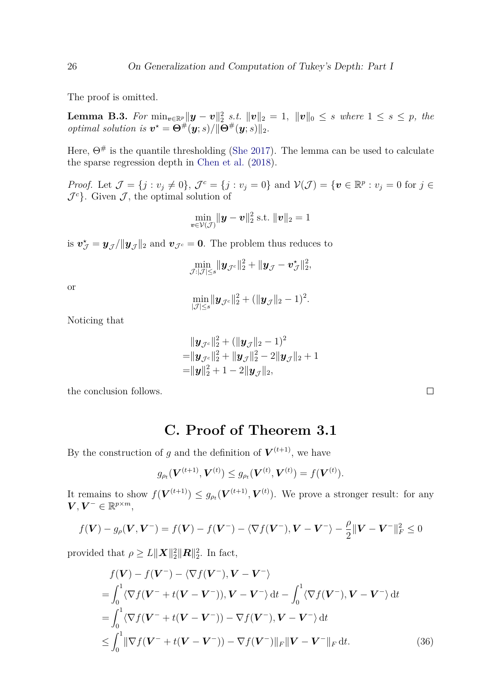The proof is omitted.

**Lemma B.3.** For  $\min_{v \in \mathbb{R}^p} ||y - v||_2^2$  *s.t.*  $||v||_2 = 1$ ,  $||v||_0 \leq s$  where  $1 \leq s \leq p$ , the *optimal solution is*  $v^* = \Theta^{\#}(y; s) / ||\Theta^{\#}(y; s)||_2$ .

Here,  $\Theta^{\#}$  is the quantile thresholding [\(She](#page-23-14) [2017\)](#page-23-14). The lemma can be used to calculate the sparse regression depth in [Chen et al.](#page-20-3) [\(2018\)](#page-20-3).

*Proof.* Let  $\mathcal{J} = \{j : v_j \neq 0\}$ ,  $\mathcal{J}^c = \{j : v_j = 0\}$  and  $\mathcal{V}(\mathcal{J}) = \{\mathbf{v} \in \mathbb{R}^p : v_j = 0 \text{ for } j \in \mathbb{R}^p\}$  $\mathcal{J}^c$ . Given  $\mathcal{J}$ , the optimal solution of

$$
\min_{\boldsymbol{v}\in\mathcal{V}(\mathcal{J})} \|\boldsymbol{y}-\boldsymbol{v}\|_2^2 \text{ s.t. } \|\boldsymbol{v}\|_2 = 1
$$

is  $\mathbf{v}_{\mathcal{J}}^{\star} = \mathbf{y}_{\mathcal{J}} / ||\mathbf{y}_{\mathcal{J}}||_2$  and  $\mathbf{v}_{\mathcal{J}^c} = \mathbf{0}$ . The problem thus reduces to

$$
\min_{\mathcal{J}: \vert \mathcal{J}\vert \leq s} \lVert \boldsymbol{y}_{\mathcal{J}^c}\rVert_2^2 + \lVert \boldsymbol{y}_{\mathcal{J}} - \boldsymbol{v}^{\star}_{\mathcal{J}}\rVert_2^2,
$$

or

$$
\min_{|\mathcal{J}| \leq s} \lVert \bm{y}_{\mathcal{J}^c} \rVert_2^2 + (\lVert \bm{y}_{\mathcal{J}} \rVert_2 - 1)^2.
$$

Noticing that

$$
\|\boldsymbol{y}_{\mathcal{J}^c}\|_2^2 + (\|\boldsymbol{y}_{\mathcal{J}}\|_2 - 1)^2 \n= \|\boldsymbol{y}_{\mathcal{J}^c}\|_2^2 + \|\boldsymbol{y}_{\mathcal{J}}\|_2^2 - 2\|\boldsymbol{y}_{\mathcal{J}}\|_2 + 1 \n= \|\boldsymbol{y}\|_2^2 + 1 - 2\|\boldsymbol{y}_{\mathcal{J}}\|_2,
$$

the conclusion follows.

#### **C. Proof of Theorem 3.1**

By the construction of *g* and the definition of  $V^{(t+1)}$ , we have

$$
g_{\rho_t}(\mathbf{V}^{(t+1)}, \mathbf{V}^{(t)}) \le g_{\rho_t}(\mathbf{V}^{(t)}, \mathbf{V}^{(t)}) = f(\mathbf{V}^{(t)}).
$$

It remains to show  $f(\mathbf{V}^{(t+1)}) \leq g_{\rho_t}(\mathbf{V}^{(t+1)}, \mathbf{V}^{(t)})$ . We prove a stronger result: for any  $V, V^- \in \mathbb{R}^{p \times m}$ ,

$$
f(\boldsymbol{V}) - g_{\rho}(\boldsymbol{V}, \boldsymbol{V}^{-}) = f(\boldsymbol{V}) - f(\boldsymbol{V}^{-}) - \langle \nabla f(\boldsymbol{V}^{-}), \boldsymbol{V} - \boldsymbol{V}^{-} \rangle - \frac{\rho}{2} ||\boldsymbol{V} - \boldsymbol{V}^{-}||_{F}^{2} \leq 0
$$

provided that  $\rho \geq L ||\boldsymbol{X}||_2^2 ||\boldsymbol{R}||_2^2$ . In fact,

$$
f(\mathbf{V}) - f(\mathbf{V}^{-}) - \langle \nabla f(\mathbf{V}^{-}), \mathbf{V} - \mathbf{V}^{-} \rangle
$$
  
\n
$$
= \int_{0}^{1} \langle \nabla f(\mathbf{V}^{-} + t(\mathbf{V} - \mathbf{V}^{-})), \mathbf{V} - \mathbf{V}^{-} \rangle dt - \int_{0}^{1} \langle \nabla f(\mathbf{V}^{-}), \mathbf{V} - \mathbf{V}^{-} \rangle dt
$$
  
\n
$$
= \int_{0}^{1} \langle \nabla f(\mathbf{V}^{-} + t(\mathbf{V} - \mathbf{V}^{-})) - \nabla f(\mathbf{V}^{-}), \mathbf{V} - \mathbf{V}^{-} \rangle dt
$$
  
\n
$$
\leq \int_{0}^{1} ||\nabla f(\mathbf{V}^{-} + t(\mathbf{V} - \mathbf{V}^{-})) - \nabla f(\mathbf{V}^{-})||_{F} ||\mathbf{V} - \mathbf{V}^{-}||_{F} dt.
$$
 (36)

<span id="page-25-0"></span> $\Box$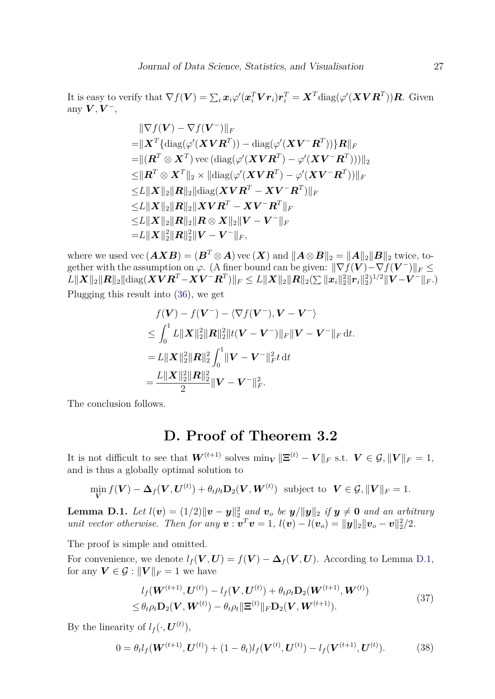It is easy to verify that  $\nabla f(\bm{V}) = \sum_i \bm{x}_i \varphi'(\bm{x}_i^T \bm{V} \bm{r}_i) \bm{r}_i^T = \bm{X}^T \text{diag}(\varphi'(\bm{X} \bm{V} \bm{R}^T)) \bm{R}$ . Given any  $\boldsymbol{V}, \boldsymbol{V}^-,$ 

$$
\|\nabla f(\mathbf{V}) - \nabla f(\mathbf{V}^{-})\|_{F}
$$
\n
$$
= \|\mathbf{X}^{T}\{\text{diag}(\varphi'(\mathbf{X}\mathbf{V}\mathbf{R}^{T})) - \text{diag}(\varphi'(\mathbf{X}\mathbf{V}^{-}\mathbf{R}^{T}))\}\mathbf{R}\|_{F}
$$
\n
$$
= \|(\mathbf{R}^{T} \otimes \mathbf{X}^{T}) \operatorname{vec}(\text{diag}(\varphi'(\mathbf{X}\mathbf{V}\mathbf{R}^{T}) - \varphi'(\mathbf{X}\mathbf{V}^{-}\mathbf{R}^{T}))\|_{2}
$$
\n
$$
\leq \|\mathbf{R}^{T} \otimes \mathbf{X}^{T}\|_{2} \times \|\text{diag}(\varphi'(\mathbf{X}\mathbf{V}\mathbf{R}^{T}) - \varphi'(\mathbf{X}\mathbf{V}^{-}\mathbf{R}^{T}))\|_{F}
$$
\n
$$
\leq L \|\mathbf{X}\|_{2} \|\mathbf{R}\|_{2} \|\text{diag}(\mathbf{X}\mathbf{V}\mathbf{R}^{T} - \mathbf{X}\mathbf{V}^{-}\mathbf{R}^{T})\|_{F}
$$
\n
$$
\leq L \|\mathbf{X}\|_{2} \|\mathbf{R}\|_{2} \|\mathbf{X}\mathbf{V}\mathbf{R}^{T} - \mathbf{X}\mathbf{V}^{-}\mathbf{R}^{T}\|_{F}
$$
\n
$$
\leq L \|\mathbf{X}\|_{2} \|\mathbf{R}\|_{2} \|\mathbf{R} \otimes \mathbf{X}\|_{2} \|\mathbf{V} - \mathbf{V}^{-}\|_{F}
$$
\n
$$
= L \|\mathbf{X}\|_{2}^{2} \|\mathbf{R}\|_{2}^{2} \|\mathbf{V} - \mathbf{V}^{-}\|_{F},
$$

where we used vec  $(AXB) = (B^T \otimes A)$  vec  $(X)$  and  $||A \otimes B||_2 = ||A||_2 ||B||_2$  twice, together with the assumption on  $\varphi$ . (A finer bound can be given:  $\|\nabla f(\mathbf{V}) - \nabla f(\mathbf{V}^-)\|_F \leq$  $L\| \boldsymbol{X} \|_{2} \| \boldsymbol{R} \|_{2} \| \text{diag} (\boldsymbol{X} \boldsymbol{V} \boldsymbol{R}^T - \boldsymbol{X} \boldsymbol{V}^- \boldsymbol{R}^T) \|_{F} \leq L \| \boldsymbol{X} \|_{2} \| \boldsymbol{R} \|_{2} (\sum \| \boldsymbol{x}_i \|_{2}^2 \| \boldsymbol{r}_i \|_{2}^2)^{1/2} \| \boldsymbol{V} - \boldsymbol{V}^- \|_{F}.)$ Plugging this result into [\(36\)](#page-25-0), we get

$$
f(\mathbf{V}) - f(\mathbf{V}^{-}) - \langle \nabla f(\mathbf{V}^{-}), \mathbf{V} - \mathbf{V}^{-} \rangle
$$
  
\n
$$
\leq \int_0^1 L \|\mathbf{X}\|_2^2 \|\mathbf{R}\|_2^2 \|t(\mathbf{V} - \mathbf{V}^{-})\|_F \|\mathbf{V} - \mathbf{V}^{-}\|_F dt.
$$
  
\n
$$
= L \|\mathbf{X}\|_2^2 \|\mathbf{R}\|_2^2 \int_0^1 \|\mathbf{V} - \mathbf{V}^{-}\|_F^2 t dt
$$
  
\n
$$
= \frac{L \|\mathbf{X}\|_2^2 \|\mathbf{R}\|_2^2}{2} \|\mathbf{V} - \mathbf{V}^{-}\|_F^2.
$$

The conclusion follows.

# **D. Proof of Theorem 3.2**

It is not difficult to see that  $W^{(t+1)}$  solves  $\min_{V} \|\mathbf{\Xi}^{(t)} - V\|_{F}$  s.t.  $V \in \mathcal{G}, ||V||_{F} = 1$ , and is thus a globally optimal solution to

$$
\min_{\mathbf{V}} f(\mathbf{V}) - \Delta_f(\mathbf{V}, \mathbf{U}^{(t)}) + \theta_t \rho_t \mathbf{D}_2(\mathbf{V}, \mathbf{W}^{(t)}) \text{ subject to } \mathbf{V} \in \mathcal{G}, ||\mathbf{V}||_F = 1.
$$

<span id="page-26-0"></span>**Lemma D.1.** *Let*  $l(v) = (1/2) ||v - y||_2^2$  and  $v_o$  be  $y/||y||_2$  if  $y \neq 0$  and an arbitrary *unit vector otherwise. Then for any*  $\mathbf{v}: \mathbf{v}^T \mathbf{v} = 1$ ,  $l(\mathbf{v}) - l(\mathbf{v}_o) = ||\mathbf{y}||_2 ||\mathbf{v}_o - \mathbf{v}||_2^2/2$ .

The proof is simple and omitted.

For convenience, we denote  $l_f(V, U) = f(V) - \Delta_f(V, U)$ . According to Lemma [D.1,](#page-26-0) for any  $V \in \mathcal{G} : ||V||_F = 1$  we have

<span id="page-26-2"></span><span id="page-26-1"></span>
$$
l_f(\boldsymbol{W}^{(t+1)}, \boldsymbol{U}^{(t)}) - l_f(\boldsymbol{V}, \boldsymbol{U}^{(t)}) + \theta_t \rho_t \mathbf{D}_2(\boldsymbol{W}^{(t+1)}, \boldsymbol{W}^{(t)}) \leq \theta_t \rho_t \mathbf{D}_2(\boldsymbol{V}, \boldsymbol{W}^{(t)}) - \theta_t \rho_t \| \boldsymbol{\Xi}^{(t)} \|_F \mathbf{D}_2(\boldsymbol{V}, \boldsymbol{W}^{(t+1)}).
$$
\n(37)

By the linearity of  $l_f(\cdot, \boldsymbol{U}^{(t)}),$ 

$$
0 = \theta_t l_f(\boldsymbol{W}^{(t+1)}, \boldsymbol{U}^{(t)}) + (1 - \theta_t) l_f(\boldsymbol{V}^{(t)}, \boldsymbol{U}^{(t)}) - l_f(\boldsymbol{V}^{(t+1)}, \boldsymbol{U}^{(t)}).
$$
(38)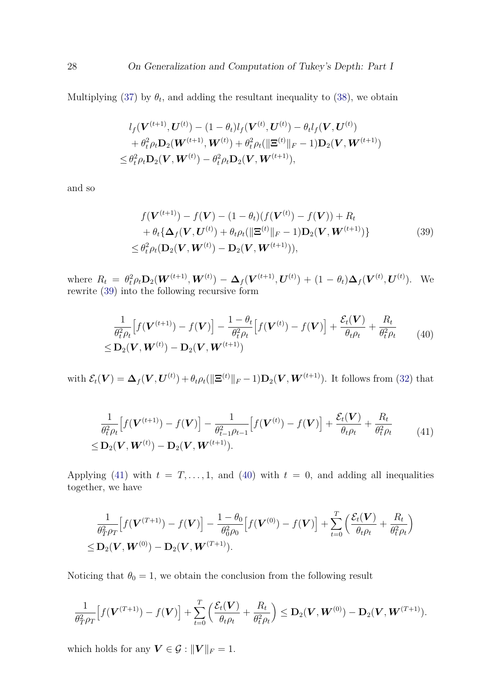Multiplying [\(37\)](#page-26-1) by  $\theta_t$ , and adding the resultant inequality to [\(38\)](#page-26-2), we obtain

<span id="page-27-0"></span>
$$
l_f(\boldsymbol{V}^{(t+1)}, \boldsymbol{U}^{(t)}) - (1 - \theta_t) l_f(\boldsymbol{V}^{(t)}, \boldsymbol{U}^{(t)}) - \theta_t l_f(\boldsymbol{V}, \boldsymbol{U}^{(t)}) + \theta_t^2 \rho_t \mathbf{D}_2(\boldsymbol{W}^{(t+1)}, \boldsymbol{W}^{(t)}) + \theta_t^2 \rho_t (\|\boldsymbol{\Xi}^{(t)}\|_F - 1) \mathbf{D}_2(\boldsymbol{V}, \boldsymbol{W}^{(t+1)}) \leq \theta_t^2 \rho_t \mathbf{D}_2(\boldsymbol{V}, \boldsymbol{W}^{(t)}) - \theta_t^2 \rho_t \mathbf{D}_2(\boldsymbol{V}, \boldsymbol{W}^{(t+1)}),
$$

and so

<span id="page-27-2"></span>
$$
f(\mathbf{V}^{(t+1)}) - f(\mathbf{V}) - (1 - \theta_t)(f(\mathbf{V}^{(t)}) - f(\mathbf{V})) + R_t + \theta_t \{\Delta_f(\mathbf{V}, \mathbf{U}^{(t)}) + \theta_t \rho_t(\|\mathbf{\Xi}^{(t)}\|_F - 1) \mathbf{D}_2(\mathbf{V}, \mathbf{W}^{(t+1)})\} \leq \theta_t^2 \rho_t(\mathbf{D}_2(\mathbf{V}, \mathbf{W}^{(t)}) - \mathbf{D}_2(\mathbf{V}, \mathbf{W}^{(t+1)})),
$$
\n(39)

where  $R_t = \theta_t^2 \rho_t \mathbf{D}_2(\mathbf{W}^{(t+1)}, \mathbf{W}^{(t)}) - \mathbf{\Delta}_f(\mathbf{V}^{(t+1)}, \mathbf{U}^{(t)}) + (1 - \theta_t) \mathbf{\Delta}_f(\mathbf{V}^{(t)}, \mathbf{U}^{(t)})$ . We rewrite [\(39\)](#page-27-0) into the following recursive form

$$
\frac{1}{\theta_t^2 \rho_t} \Big[ f(\mathbf{V}^{(t+1)}) - f(\mathbf{V}) \Big] - \frac{1 - \theta_t}{\theta_t^2 \rho_t} \Big[ f(\mathbf{V}^{(t)}) - f(\mathbf{V}) \Big] + \frac{\mathcal{E}_t(\mathbf{V})}{\theta_t \rho_t} + \frac{R_t}{\theta_t^2 \rho_t} \tag{40}
$$
\n
$$
\leq \mathbf{D}_2(\mathbf{V}, \mathbf{W}^{(t)}) - \mathbf{D}_2(\mathbf{V}, \mathbf{W}^{(t+1)})
$$

<span id="page-27-1"></span>with  $\mathcal{E}_t(\boldsymbol{V}) = \boldsymbol{\Delta}_f(\boldsymbol{V}, \boldsymbol{U}^{(t)}) + \theta_t \rho_t(\|\boldsymbol{\Xi}^{(t)}\|_F - 1) \mathbf{D}_2(\boldsymbol{V}, \boldsymbol{W}^{(t+1)})$ . It follows from [\(32\)](#page-13-3) that

$$
\frac{1}{\theta_t^2 \rho_t} \Big[ f(\mathbf{V}^{(t+1)}) - f(\mathbf{V}) \Big] - \frac{1}{\theta_{t-1}^2 \rho_{t-1}} \Big[ f(\mathbf{V}^{(t)}) - f(\mathbf{V}) \Big] + \frac{\mathcal{E}_t(\mathbf{V})}{\theta_t \rho_t} + \frac{R_t}{\theta_t^2 \rho_t} \tag{41}
$$
\n
$$
\leq \mathbf{D}_2(\mathbf{V}, \mathbf{W}^{(t)}) - \mathbf{D}_2(\mathbf{V}, \mathbf{W}^{(t+1)}).
$$

Applying [\(41\)](#page-27-1) with  $t = T, \ldots, 1$ , and [\(40\)](#page-27-2) with  $t = 0$ , and adding all inequalities together, we have

$$
\frac{1}{\theta_T^2 \rho_T} \Big[ f(\boldsymbol{V}^{(T+1)}) - f(\boldsymbol{V}) \Big] - \frac{1 - \theta_0}{\theta_0^2 \rho_0} \Big[ f(\boldsymbol{V}^{(0)}) - f(\boldsymbol{V}) \Big] + \sum_{t=0}^T \Big( \frac{\mathcal{E}_t(\boldsymbol{V})}{\theta_t \rho_t} + \frac{R_t}{\theta_t^2 \rho_t} \Big) \leq \mathbf{D}_2(\boldsymbol{V}, \boldsymbol{W}^{(0)}) - \mathbf{D}_2(\boldsymbol{V}, \boldsymbol{W}^{(T+1)}).
$$

Noticing that  $\theta_0 = 1$ , we obtain the conclusion from the following result

$$
\frac{1}{\theta_T^2 \rho_T} \Big[ f(\boldsymbol{V}^{(T+1)}) - f(\boldsymbol{V}) \Big] + \sum_{t=0}^T \Big( \frac{\mathcal{E}_t(\boldsymbol{V})}{\theta_t \rho_t} + \frac{R_t}{\theta_t^2 \rho_t} \Big) \leq \mathbf{D}_2(\boldsymbol{V}, \boldsymbol{W}^{(0)}) - \mathbf{D}_2(\boldsymbol{V}, \boldsymbol{W}^{(T+1)}).
$$

which holds for any  $V \in \mathcal{G} : ||V||_F = 1$ .